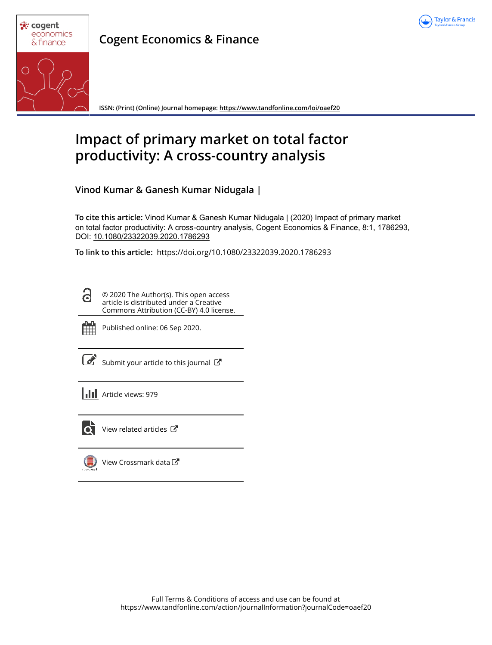



**Cogent Economics & Finance**

**ISSN: (Print) (Online) Journal homepage: https://www.tandfonline.com/loi/oaef20**

# **Impact of primary market on total factor productivity: A cross-country analysis**

**Vinod Kumar & Ganesh Kumar Nidugala |**

**To cite this article:** Vinod Kumar & Ganesh Kumar Nidugala | (2020) Impact of primary market on total factor productivity: A cross-country analysis, Cogent Economics & Finance, 8:1, 1786293, DOI: 10.1080/23322039.2020.1786293

**To link to this article:** https://doi.org/10.1080/23322039.2020.1786293

© 2020 The Author(s). This open access article is distributed under a Creative Commons Attribution (CC-BY) 4.0 license.



Published online: 06 Sep 2020.

Submit your article to this journal  $\mathbb{Z}$ 

**Article views: 979** 



 $\overline{Q}$  View related articles  $\overline{C}$ 

View Crossmark data  $\sigma$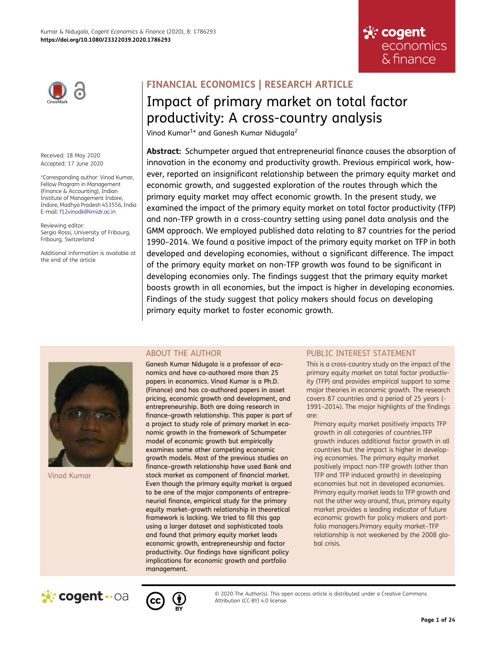



Received: 18 May 2020 Accepted: 17 June 2020

\*Corresponding author: Vinod Kumar, Fellow Program in Management (Finance & Accounting), Indian Institute of Management Indore, Indore, Madhya Pradesh 453556, India E-mail: f12vinodk@iimidr.ac.in

Reviewing editor: Sergio Rossi, University of Fribourg, Fribourg, Switzerland

Additional information is available at the end of the article

## **FINANCIAL ECONOMICS | RESEARCH ARTICLE** Impact of primary market on total factor productivity: A cross-country analysis

<span id="page-1-0"></span>Vinod Kumar $^{1\star}$  $^{1\star}$  $^{1\star}$  and Ganesh Kumar Nidugala $^2$ 

**Abstract:** Schumpeter argued that entrepreneurial finance causes the absorption of innovation in the economy and productivity growth. Previous empirical work, however, reported an insignificant relationship between the primary equity market and economic growth, and suggested exploration of the routes through which the primary equity market may affect economic growth. In the present study, we examined the impact of the primary equity market on total factor productivity (TFP) and non-TFP growth in a cross-country setting using panel data analysis and the GMM approach. We employed published data relating to 87 countries for the period 1990–2014. We found a positive impact of the primary equity market on TFP in both developed and developing economies, without a significant difference. The impact of the primary equity market on non-TFP growth was found to be significant in developing economies only. The findings suggest that the primary equity market boosts growth in all economies, but the impact is higher in developing economies. Findings of the study suggest that policy makers should focus on developing primary equity market to foster economic growth.



Vinod Kumar

## ABOUT THE AUTHOR

Ganesh Kumar Nidugala is a professor of economics and have co-authored more than 25 papers in economics. Vinod Kumar is a Ph.D. (Finance) and has co-authored papers in asset pricing, economic growth and development, and entrepreneurship. Both are doing research in finance–growth relationship. This paper is part of a project to study role of primary market in economic growth in the framework of Schumpeter model of economic growth but empirically examines some other competing economic growth models. Most of the previous studies on finance–growth relationship have used Bank and stock market as component of financial market. Even though the primary equity market is argued to be one of the major components of entrepreneurial finance, empirical study for the primary equity market–growth relationship in theoretical framework is lacking. We tried to fill this gap using a larger dataset and sophisticated tools and found that primary equity market leads economic growth, entrepreneurship and factor productivity. Our findings have significant policy implications for economic growth and portfolio management.

## PUBLIC INTEREST STATEMENT

This is a cross-country study on the impact of the primary equity market on total factor productivity (TFP) and provides empirical support to some major theories in economic growth. The research covers 87 countries and a period of 25 years (- 1991–2014). The major highlights of the findings are:

Primary equity market positively impacts TFP growth in all categories of countries.TFP growth induces additional factor growth in all countries but the impact is higher in developing economies. The primary equity market positively impact non-TFP growth (other than TFP and TFP induced growth) in developing economies but not in developed economies. Primary equity market leads to TFP growth and not the other way around, thus, primary equity market provides a leading indicator of future economic growth for policy makers and portfolio managers.Primary equity market–TFP relationship is not weakened by the 2008 global crisis.





© 2020 The Author(s). This open access article is distributed under a Creative Commons Attribution (CC-BY) 4.0 license.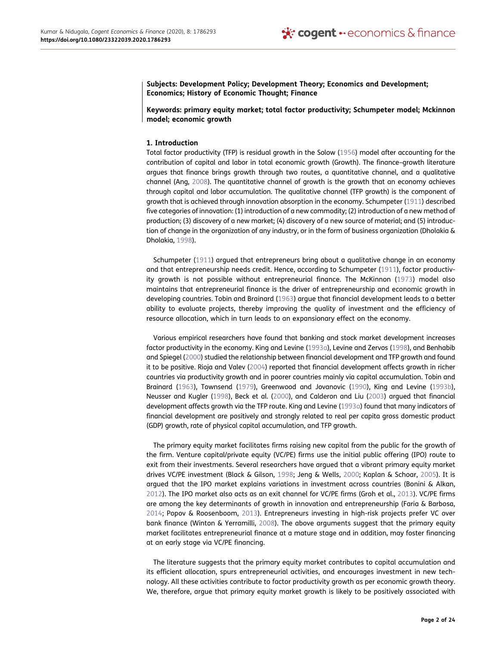**Subjects: Development Policy; Development Theory; Economics and Development; Economics; History of Economic Thought; Finance** 

### **Keywords: primary equity market; total factor productivity; Schumpeter model; Mckinnon model; economic growth**

#### **1. Introduction**

<span id="page-2-15"></span><span id="page-2-0"></span>Total factor productivity (TFP) is residual growth in the Solow ([1956\)](#page-23-0) model after accounting for the contribution of capital and labor in total economic growth (Growth). The finance–growth literature argues that finance brings growth through two routes, a quantitative channel, and a qualitative channel (Ang, [2008](#page-22-2)). The quantitative channel of growth is the growth that an economy achieves through capital and labor accumulation. The qualitative channel (TFP growth) is the component of growth that is achieved through innovation absorption in the economy. Schumpeter [\(1911](#page-23-1)) described five categories of innovation: (1) introduction of a new commodity; (2) introduction of a new method of production; (3) discovery of a new market; (4) discovery of a new source of material; and (5) introduction of change in the organization of any industry, or in the form of business organization (Dholakia & Dholakia, [1998](#page-23-2)).

<span id="page-2-14"></span><span id="page-2-11"></span><span id="page-2-5"></span>Schumpeter [\(1911\)](#page-23-1) argued that entrepreneurs bring about a qualitative change in an economy and that entrepreneurship needs credit. Hence, according to Schumpeter [\(1911](#page-23-1)), factor productivity growth is not possible without entrepreneurial finance. The McKinnon ([1973](#page-23-3)) model also maintains that entrepreneurial finance is the driver of entrepreneurship and economic growth in developing countries. Tobin and Brainard ([1963\)](#page-23-4) argue that financial development leads to a better ability to evaluate projects, thereby improving the quality of investment and the efficiency of resource allocation, which in turn leads to an expansionary effect on the economy.

<span id="page-2-13"></span><span id="page-2-10"></span><span id="page-2-7"></span><span id="page-2-2"></span>Various empirical researchers have found that banking and stock market development increases factor productivity in the economy. King and Levine [\(1993a](#page-23-5)), Levine and Zervos ([1998\)](#page-23-6), and Benhabib and Spiegel ([2000\)](#page-23-7) studied the relationship between financial development and TFP growth and found it to be positive. Rioja and Valev ([2004\)](#page-23-8) reported that financial development affects growth in richer countries via productivity growth and in poorer countries mainly via capital accumulation. Tobin and Brainard [\(1963](#page-23-4)), Townsend ([1979\)](#page-23-9), Greenwood and Jovanovic ([1990\)](#page-23-10), King and Levine [\(1993b\)](#page-23-11), Neusser and Kugler ([1998\)](#page-23-12), Beck et al. ([2000\)](#page-22-3), and Calderon and Liu [\(2003\)](#page-23-13) argued that financial development affects growth via the TFP route. King and Levine ([1993a\)](#page-23-5) found that many indicators of financial development are positively and strongly related to real per capita gross domestic product (GDP) growth, rate of physical capital accumulation, and TFP growth.

<span id="page-2-9"></span><span id="page-2-8"></span><span id="page-2-6"></span><span id="page-2-4"></span><span id="page-2-3"></span><span id="page-2-1"></span>The primary equity market facilitates firms raising new capital from the public for the growth of the firm. Venture capital/private equity (VC/PE) firms use the initial public offering (IPO) route to exit from their investments. Several researchers have argued that a vibrant primary equity market drives VC/PE investment (Black & Gilson, [1998](#page-23-14); Jeng & Wells, [2000](#page-23-15); Kaplan & Schoar, [2005](#page-23-16)). It is argued that the IPO market explains variations in investment across countries (Bonini & Alkan, [2012](#page-23-17)). The IPO market also acts as an exit channel for VC/PE firms (Groh et al., [2013\)](#page-23-18). VC/PE firms are among the key determinants of growth in innovation and entrepreneurship (Faria & Barbosa, [2014](#page-23-19); Popov & Roosenboom, [2013\)](#page-23-20). Entrepreneurs investing in high-risk projects prefer VC over bank finance (Winton & Yerramilli, [2008\)](#page-23-21). The above arguments suggest that the primary equity market facilitates entrepreneurial finance at a mature stage and in addition, may foster financing at an early stage via VC/PE financing.

<span id="page-2-16"></span><span id="page-2-12"></span>The literature suggests that the primary equity market contributes to capital accumulation and its efficient allocation, spurs entrepreneurial activities, and encourages investment in new technology. All these activities contribute to factor productivity growth as per economic growth theory. We, therefore, argue that primary equity market growth is likely to be positively associated with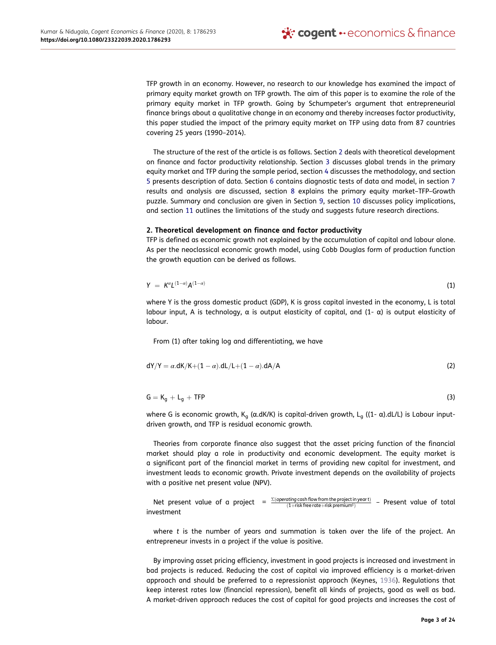TFP growth in an economy. However, no research to our knowledge has examined the impact of primary equity market growth on TFP growth. The aim of this paper is to examine the role of the primary equity market in TFP growth. Going by Schumpeter's argument that entrepreneurial finance brings about a qualitative change in an economy and thereby increases factor productivity, this paper studied the impact of the primary equity market on TFP using data from 87 countries covering 25 years (1990–2014).

The structure of the rest of the article is as follows. Section [2](#page-3-0) deals with theoretical development on finance and factor productivity relationship. Section [3](#page-4-0) discusses global trends in the primary equity market and TFP during the sample period, section [4](#page-4-1) discusses the methodology, and section [5](#page-7-0) presents description of data. Section [6](#page-8-0) contains diagnostic tests of data and model, in section [7](#page-8-1)  results and analysis are discussed, section [8](#page-16-0) explains the primary equity market–TFP–Growth puzzle. Summary and conclusion are given in Section [9](#page-20-0), section [10](#page-21-0) discusses policy implications, and section [11](#page-22-4) outlines the limitations of the study and suggests future research directions.

#### <span id="page-3-0"></span>**2. Theoretical development on finance and factor productivity**

TFP is defined as economic growth not explained by the accumulation of capital and labour alone. As per the neoclassical economic growth model, using Cobb Douglas form of production function the growth equation can be derived as follows.

$$
Y = K^{\alpha}L^{(1-\alpha)}A^{(1-\alpha)} \tag{1}
$$

where Y is the gross domestic product (GDP), K is gross capital invested in the economy, L is total labour input, A is technology,  $\alpha$  is output elasticity of capital, and  $(1-\alpha)$  is output elasticity of labour.

From (1) after taking log and differentiating, we have

$$
dY/Y = \alpha.dK/K + (1 - \alpha).dL/L + (1 - \alpha).dA/A
$$
 (2)

$$
G = K_g + L_g + TFP
$$
 (3)

where G is economic growth, K<sub>g</sub> (α.dK/K) is capital-driven growth, L<sub>g</sub> ((1- α).dL/L) is Labour inputdriven growth, and TFP is residual economic growth.

Theories from corporate finance also suggest that the asset pricing function of the financial market should play a role in productivity and economic development. The equity market is a significant part of the financial market in terms of providing new capital for investment, and investment leads to economic growth. Private investment depends on the availability of projects with a positive net present value (NPV).

Net present value of a project =  $\frac{\Sigma(\text{operating cash flow from the project in year t})}{(1 + \text{risk free rate} + \text{risk premium}^t)}$  – Present value of total investment

where *t* is the number of years and summation is taken over the life of the project. An entrepreneur invests in a project if the value is positive.

<span id="page-3-1"></span>By improving asset pricing efficiency, investment in good projects is increased and investment in bad projects is reduced. Reducing the cost of capital via improved efficiency is a market-driven approach and should be preferred to a repressionist approach (Keynes, [1936](#page-23-22)). Regulations that keep interest rates low (financial repression), benefit all kinds of projects, good as well as bad. A market-driven approach reduces the cost of capital for good projects and increases the cost of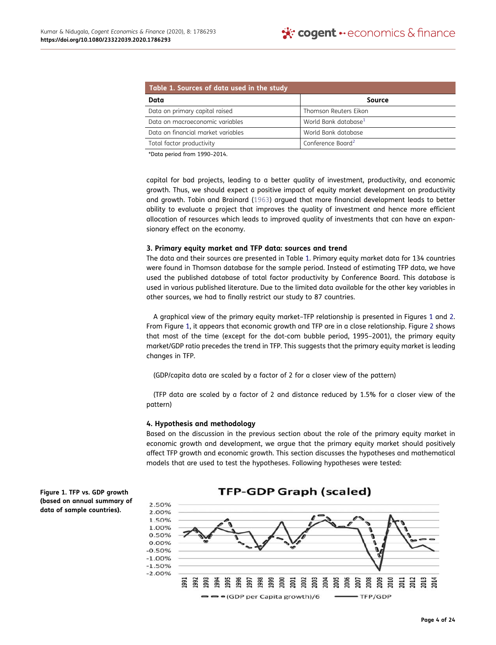<span id="page-4-2"></span>

| Table 1. Sources of data used in the study |                                  |  |  |  |  |
|--------------------------------------------|----------------------------------|--|--|--|--|
| Data                                       | Source                           |  |  |  |  |
| Data on primary capital raised             | Thomson Reuters Eikon            |  |  |  |  |
| Data on macroeconomic variables            | World Bank database <sup>1</sup> |  |  |  |  |
| Data on financial market variables         | World Bank database              |  |  |  |  |
| Total factor productivity                  | Conference Board <sup>2</sup>    |  |  |  |  |

\*Data period from 1990–2014.

capital for bad projects, leading to a better quality of investment, productivity, and economic growth. Thus, we should expect a positive impact of equity market development on productivity and growth. Tobin and Brainard ([1963](#page-23-4)) argued that more financial development leads to better ability to evaluate a project that improves the quality of investment and hence more efficient allocation of resources which leads to improved quality of investments that can have an expansionary effect on the economy.

#### <span id="page-4-0"></span>**3. Primary equity market and TFP data: sources and trend**

The data and their sources are presented in Table [1](#page-4-2). Primary equity market data for 134 countries were found in Thomson database for the sample period. Instead of estimating TFP data, we have used the published database of total factor productivity by Conference Board. This database is used in various published literature. Due to the limited data available for the other key variables in other sources, we had to finally restrict our study to 87 countries.

A graphical view of the primary equity market–TFP relationship is presented in Figures [1](#page-4-3) and [2](#page-5-0). From Figure [1](#page-4-3), it appears that economic growth and TFP are in a close relationship. Figure [2](#page-5-0) shows that most of the time (except for the dot-com bubble period, 1995–2001), the primary equity market/GDP ratio precedes the trend in TFP. This suggests that the primary equity market is leading changes in TFP.

(GDP/capita data are scaled by a factor of 2 for a closer view of the pattern)

(TFP data are scaled by a factor of 2 and distance reduced by 1.5% for a closer view of the pattern)

#### <span id="page-4-1"></span>**4. Hypothesis and methodology**

Based on the discussion in the previous section about the role of the primary equity market in economic growth and development, we argue that the primary equity market should positively affect TFP growth and economic growth. This section discusses the hypotheses and mathematical models that are used to test the hypotheses. Following hypotheses were tested:

<span id="page-4-3"></span>**Figure 1. TFP vs. GDP growth (based on annual summary of data of sample countries).**



## **TFP-GDP Graph (scaled)**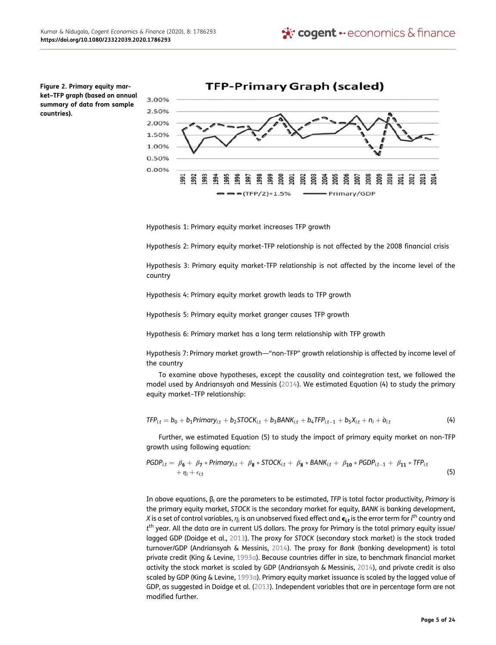<span id="page-5-0"></span>**Figure 2. Primary equity market–TFP graph (based on annual summary of data from sample countries).**



Hypothesis 1: Primary equity market increases TFP growth

Hypothesis 2: Primary equity market-TFP relationship is not affected by the 2008 financial crisis

Hypothesis 3: Primary equity market-TFP relationship is not affected by the income level of the country

Hypothesis 4: Primary equity market growth leads to TFP growth

Hypothesis 5: Primary equity market granger causes TFP growth

Hypothesis 6: Primary market has a long term relationship with TFP growth

Hypothesis 7: Primary market growth—"non-TFP" growth relationship is affected by income level of the country

To examine above hypotheses, except the causality and cointegration test, we followed the model used by Andriansyah and Messinis ([2014](#page-22-7)). We estimated Equation (4) to study the primary equity market–TFP relationship:

$$
TFP_{i,t} = b_0 + b_1Primary_{i,t} + b_2STOCK_{i,t} + b_3BANK_{i,t} + b_4TFP_{i,t-1} + b_5X_{i,t} + n_i + \dot{o}_{i,t}
$$
\n(4)

Further, we estimated Equation (5) to study the impact of primary equity market on non-TFP growth using following equation:

PGDP<sub>i,t</sub> = 
$$
\beta_6 + \beta_7 * \text{Primary}_{i,t} + \beta_8 * \text{STOCK}_{i,t} + \beta_8 * \text{BANK}_{i,t} + \beta_{10} * \text{PGDP}_{i,t-1} + \beta_{11} * \text{TFP}_{i,t} + \eta_i + \epsilon_{i,t}
$$
 (5)

<span id="page-5-2"></span><span id="page-5-1"></span>In above equations, βi are the parameters to be estimated, *TFP* is total factor productivity, *Primary* is the primary equity market, *STOCK* is the secondary market for equity, *BANK* is banking development, *X* is a set of control variables,  $\eta_i$  is an unobserved fixed effect and  ${\bm\epsilon}_{i,t}$  is the error term for *i*<sup>th</sup> country and  $t^{\text{th}}$  year. All the data are in current US dollars. The proxy for Primary is the total primary equity issue/ lagged GDP (Doidge et al., [2013](#page-23-23)). The proxy for *STOCK* (secondary stock market) is the stock traded turnover/GDP (Andriansyah & Messinis, [2014](#page-22-7)). The proxy for *Bank* (banking development) is total private credit (King & Levine, [1993a\)](#page-23-5). Because countries differ in size, to benchmark financial market activity the stock market is scaled by GDP (Andriansyah & Messinis, [2014](#page-22-7)), and private credit is also scaled by GDP (King & Levine, [1993a\)](#page-23-5). Primary equity market issuance is scaled by the lagged value of GDP, as suggested in Doidge et al. [\(2013\)](#page-23-23). Independent variables that are in percentage form are not modified further.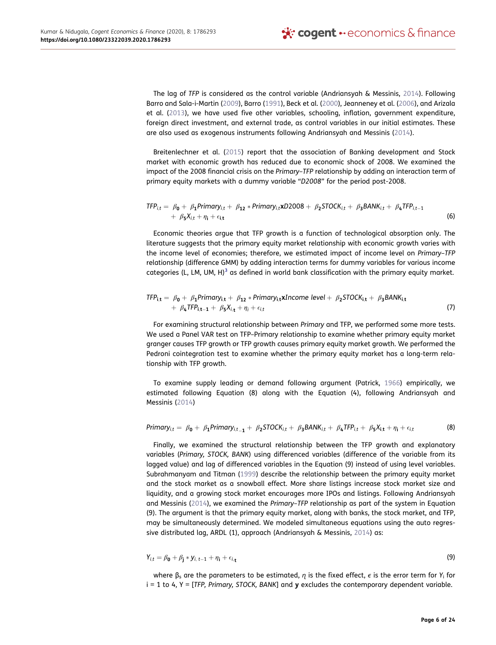<span id="page-6-1"></span><span id="page-6-0"></span>The lag of *TFP* is considered as the control variable (Andriansyah & Messinis, [2014\)](#page-22-7). Following Barro and Sala-i-Martin ([2009](#page-22-8)), Barro ([1991](#page-22-9)), Beck et al. ([2000](#page-22-3)), Jeanneney et al. ([2006](#page-23-24)), and Arizala et al. ([2013](#page-22-10)), we have used five other variables, schooling, inflation, government expenditure, foreign direct investment, and external trade, as control variables in our initial estimates. These are also used as exogenous instruments following Andriansyah and Messinis ([2014](#page-22-7)).

<span id="page-6-2"></span>Breitenlechner et al. [\(2015\)](#page-23-25) report that the association of Banking development and Stock market with economic growth has reduced due to economic shock of 2008. We examined the impact of the 2008 financial crisis on the *Primary*–*TFP* relationship by adding an interaction term of primary equity markets with a dummy variable "*D2008*" for the period post-2008.

$$
TFP_{i,t} = \beta_0 + \beta_1 Primary_{i,t} + \beta_{12} * Primary_{i,t} \times D2008 + \beta_2 STOCK_{i,t} + \beta_3 BANK_{i,t} + \beta_4 TFP_{i,t-1} + \beta_5 X_{i,t} + \eta_i + \epsilon_{i,t}
$$
\n(6)

Economic theories argue that TFP growth is a function of technological absorption only. The literature suggests that the primary equity market relationship with economic growth varies with the income level of economies; therefore, we estimated impact of income level on *Primary*–*TFP*  relationship (difference GMM) by adding interaction terms for dummy variables for various income categories (L, LM, UM, H) $3$  as defined in world bank classification with the primary equity market.

$$
\begin{aligned} TFP_{i,t} &= \beta_0 + \beta_1 \text{Primary}_{i,t} + \beta_{12} * \text{Primary}_{i,t} \text{xIncome level} + \beta_2 \text{STOCK}_{i,t} + \beta_3 \text{BANK}_{i,t} \\ &+ \beta_4 \text{TPP}_{i,t-1} + \beta_5 X_{i,t} + \eta_i + \epsilon_{i,t} \end{aligned} \tag{7}
$$

For examining structural relationship between *Primary* and TFP, we performed some more tests. We used a Panel VAR test on TFP–Primary relationship to examine whether primary equity market granger causes TFP growth or TFP growth causes primary equity market growth. We performed the Pedroni cointegration test to examine whether the primary equity market has a long-term relationship with TFP growth.

<span id="page-6-3"></span>To examine supply leading or demand following argument (Patrick, [1966\)](#page-23-26) empirically, we estimated following Equation (8) along with the Equation (4), following Andriansyah and Messinis ([2014\)](#page-22-7)

$$
Primary_{i,t} = \beta_0 + \beta_1 Primary_{i,t-1} + \beta_2STOCK_{i,t} + \beta_3BANK_{i,t} + \beta_4TFP_{i,t} + \beta_5X_{i,t} + \eta_i + \epsilon_{i,t}
$$
 (8)

<span id="page-6-4"></span>Finally, we examined the structural relationship between the TFP growth and explanatory variables (*Primary, STOCK, BANK*) using differenced variables (difference of the variable from its lagged value) and lag of differenced variables in the Equation (9) instead of using level variables. Subrahmanyam and Titman [\(1999\)](#page-23-27) describe the relationship between the primary equity market and the stock market as a snowball effect. More share listings increase stock market size and liquidity, and a growing stock market encourages more IPOs and listings. Following Andriansyah and Messinis ([2014](#page-22-7)), we examined the *Primary*–*TFP* relationship as part of the system in Equation (9). The argument is that the primary equity market, along with banks, the stock market, and TFP, may be simultaneously determined. We modeled simultaneous equations using the auto regressive distributed lag, ARDL (1), approach (Andriansyah & Messinis, [2014\)](#page-22-7) as:

$$
Y_{i,t} = \beta_0 + \beta_j * y_{i, t-1} + \eta_i + \epsilon_{i, t} \tag{9}
$$

where  $\beta_s$  are the parameters to be estimated,  $\eta$  is the fixed effect,  $\epsilon$  is the error term for  $Y_i$  for i = 1 to 4, Y = [*TFP, Primary, STOCK, BANK*] and **y** excludes the contemporary dependent variable.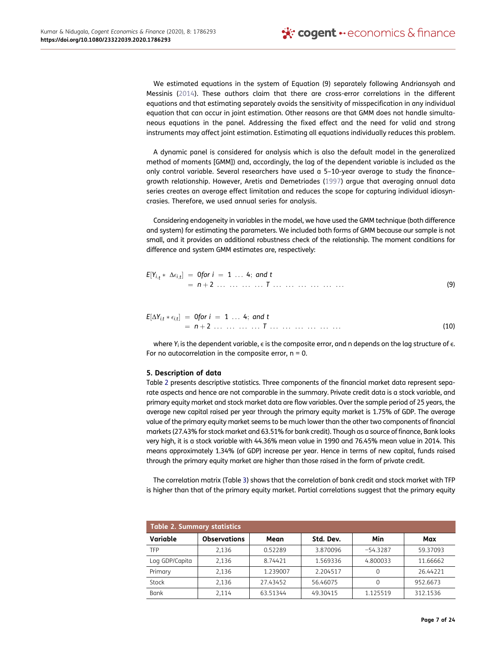We estimated equations in the system of Equation (9) separately following Andriansyah and Messinis ([2014](#page-22-7)). These authors claim that there are cross-error correlations in the different equations and that estimating separately avoids the sensitivity of misspecification in any individual equation that can occur in joint estimation. Other reasons are that GMM does not handle simultaneous equations in the panel. Addressing the fixed effect and the need for valid and strong instruments may affect joint estimation. Estimating all equations individually reduces this problem.

<span id="page-7-2"></span>A dynamic panel is considered for analysis which is also the default model in the generalized method of moments [GMM]) and, accordingly, the lag of the dependent variable is included as the only control variable. Several researchers have used a 5–10-year average to study the finance– growth relationship. However, Aretis and Demetriades ([1997\)](#page-22-12) argue that averaging annual data series creates an average effect limitation and reduces the scope for capturing individual idiosyncrasies. Therefore, we used annual series for analysis.

Considering endogeneity in variables in the model, we have used the GMM technique (both difference and system) for estimating the parameters. We included both forms of GMM because our sample is not small, and it provides an additional robustness check of the relationship. The moment conditions for difference and system GMM estimates are, respectively:

| $E[Y_{i,t} * \Delta \epsilon_{i,t}] =$ Ofor $i = 1 \ldots 4$ ; and t |  |
|----------------------------------------------------------------------|--|
| $= n+21$                                                             |  |

$$
E[\Delta Y_{i,t} * \epsilon_{i,t}] = 0 \text{for } i = 1 \ldots 4; \text{ and } t
$$
  
= n + 2 \ldots \ldots \ldots \ldots T \ldots \ldots \ldots \ldots \ldots \ldots \ldots (10)

where  $Y_i$  is the dependent variable,  $\epsilon$  is the composite error, and n depends on the lag structure of  $\epsilon$ . For no autocorrelation in the composite error,  $n = 0$ .

### <span id="page-7-0"></span>**5. Description of data**

Table [2](#page-7-1) presents descriptive statistics. Three components of the financial market data represent separate aspects and hence are not comparable in the summary. Private credit data is a stock variable, and primary equity market and stock market data are flow variables. Over the sample period of 25 years, the average new capital raised per year through the primary equity market is 1.75% of GDP. The average value of the primary equity market seems to be much lower than the other two components of financial markets (27.43% for stock market and 63.51% for bank credit). Though as a source of finance, Bank looks very high, it is a stock variable with 44.36% mean value in 1990 and 76.45% mean value in 2014. This means approximately 1.34% (of GDP) increase per year. Hence in terms of new capital, funds raised through the primary equity market are higher than those raised in the form of private credit.

The correlation matrix (Table [3](#page-8-2)) shows that the correlation of bank credit and stock market with TFP is higher than that of the primary equity market. Partial correlations suggest that the primary equity

<span id="page-7-1"></span>

| <b>Table 2. Summary statistics</b> |                     |          |           |            |          |  |  |
|------------------------------------|---------------------|----------|-----------|------------|----------|--|--|
| Variable                           | <b>Observations</b> | Mean     | Std. Dev. | Min        | Max      |  |  |
| <b>TFP</b>                         | 2.136               | 0.52289  | 3.870096  | $-54.3287$ | 59.37093 |  |  |
| Log GDP/Capita                     | 2.136               | 8.74421  | 1.569336  | 4.800033   | 11.66662 |  |  |
| Primary                            | 2.136               | 1.239007 | 2.204517  | $\Omega$   | 26.44221 |  |  |
| Stock                              | 2.136               | 27.43452 | 56.46075  | $\Omega$   | 952.6673 |  |  |
| <b>Bank</b>                        | 2.114               | 63.51344 | 49.30415  | 1.125519   | 312.1536 |  |  |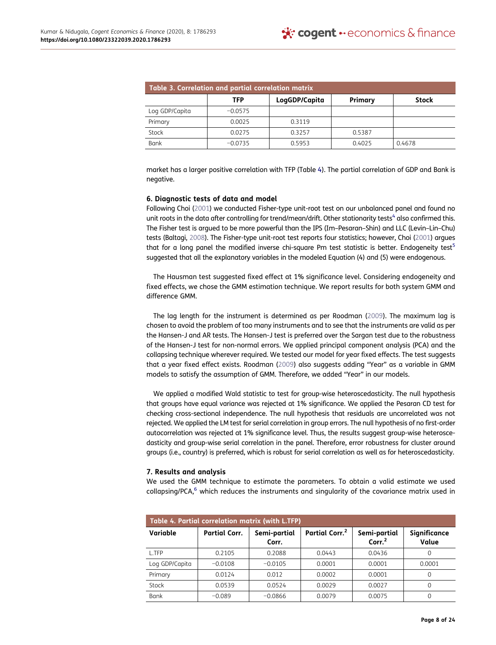<span id="page-8-2"></span>

| Table 3. Correlation and partial correlation matrix |           |               |         |              |  |  |
|-----------------------------------------------------|-----------|---------------|---------|--------------|--|--|
|                                                     | TFP       | LogGDP/Capita | Primary | <b>Stock</b> |  |  |
| Log GDP/Capita                                      | $-0.0575$ |               |         |              |  |  |
| Primary                                             | 0.0025    | 0.3119        |         |              |  |  |
| Stock                                               | 0.0275    | 0.3257        | 0.5387  |              |  |  |
| <b>Bank</b>                                         | $-0.0735$ | 0.5953        | 0.4025  | 0.4678       |  |  |

market has a larger positive correlation with TFP (Table [4](#page-8-3)). The partial correlation of GDP and Bank is negative.

#### <span id="page-8-0"></span>**6. Diagnostic tests of data and model**

<span id="page-8-4"></span>Following Choi ([2001](#page-23-28)) we conducted Fisher-type unit-root test on our unbalanced panel and found no unit roots in the data after controlling for trend/mean/drift. Other stationarity tests<sup>4</sup> also confirmed this. The Fisher test is argued to be more powerful than the IPS (Im–Pesaran–Shin) and LLC (Levin–Lin–Chu) tests (Baltagi, [2008\)](#page-22-14). The Fisher-type unit-root test reports four statistics; however, Choi [\(2001](#page-23-28)) argues that for a long panel the modified inverse chi-square Pm test statistic is better. Endogeneity test<sup>[5](#page-22-15)</sup> suggested that all the explanatory variables in the modeled Equation (4) and (5) were endogenous.

The Hausman test suggested fixed effect at 1% significance level. Considering endogeneity and fixed effects, we chose the GMM estimation technique. We report results for both system GMM and difference GMM.

The lag length for the instrument is determined as per Roodman ([2009\)](#page-23-29). The maximum lag is chosen to avoid the problem of too many instruments and to see that the instruments are valid as per the Hansen-J and AR tests. The Hansen-J test is preferred over the Sargan test due to the robustness of the Hansen-J test for non-normal errors. We applied principal component analysis (PCA) and the collapsing technique wherever required. We tested our model for year fixed effects. The test suggests that a year fixed effect exists. Roodman [\(2009\)](#page-23-29) also suggests adding "Year" as a variable in GMM models to satisfy the assumption of GMM. Therefore, we added "Year" in our models.

<span id="page-8-5"></span>We applied a modified Wald statistic to test for group-wise heteroscedasticity. The null hypothesis that groups have equal variance was rejected at 1% significance. We applied the Pesaran CD test for checking cross-sectional independence. The null hypothesis that residuals are uncorrelated was not rejected. We applied the LM test for serial correlation in group errors. The null hypothesis of no first-order autocorrelation was rejected at 1% significance level. Thus, the results suggest group-wise heteroscedasticity and group-wise serial correlation in the panel. Therefore, error robustness for cluster around groups (i.e., country) is preferred, which is robust for serial correlation as well as for heteroscedasticity.

#### <span id="page-8-1"></span>**7. Results and analysis**

We used the GMM technique to estimate the parameters. To obtain a valid estimate we used collapsing/PCA,<sup>[6](#page-22-16)</sup> which reduces the instruments and singularity of the covariance matrix used in

<span id="page-8-3"></span>

| Table 4. Partial correlation matrix (with L.TFP) |                      |                       |                            |                                   |                       |  |  |
|--------------------------------------------------|----------------------|-----------------------|----------------------------|-----------------------------------|-----------------------|--|--|
| Variable                                         | <b>Partial Corr.</b> | Semi-partial<br>Corr. | Partial Corr. <sup>2</sup> | Semi-partial<br>Corr <sup>2</sup> | Significance<br>Value |  |  |
| L.TFP                                            | 0.2105               | 0.2088                | 0.0443                     | 0.0436                            | $\Omega$              |  |  |
| Log GDP/Capita                                   | $-0.0108$            | $-0.0105$             | 0.0001                     | 0.0001                            | 0.0001                |  |  |
| Primary                                          | 0.0124               | 0.012                 | 0.0002                     | 0.0001                            | 0                     |  |  |
| Stock                                            | 0.0539               | 0.0524                | 0.0029                     | 0.0027                            | 0                     |  |  |
| <b>Bank</b>                                      | $-0.089$             | $-0.0866$             | 0.0079                     | 0.0075                            | 0                     |  |  |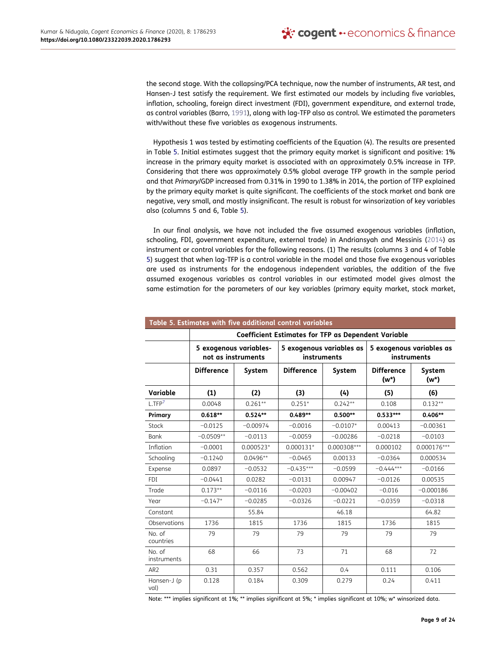the second stage. With the collapsing/PCA technique, now the number of instruments, AR test, and Hansen-J test satisfy the requirement. We first estimated our models by including five variables, inflation, schooling, foreign direct investment (FDI), government expenditure, and external trade, as control variables (Barro, [1991\)](#page-22-9), along with lag-TFP also as control. We estimated the parameters with/without these five variables as exogenous instruments.

Hypothesis 1 was tested by estimating coefficients of the Equation (4). The results are presented in Table [5.](#page-9-0) Initial estimates suggest that the primary equity market is significant and positive: 1% increase in the primary equity market is associated with an approximately 0.5% increase in TFP. Considering that there was approximately 0.5% global average TFP growth in the sample period and that *Primary*/GDP increased from 0.31% in 1990 to 1.38% in 2014, the portion of TFP explained by the primary equity market is quite significant. The coefficients of the stock market and bank are negative, very small, and mostly insignificant. The result is robust for winsorization of key variables also (columns 5 and 6, Table [5](#page-9-0)).

In our final analysis, we have not included the five assumed exogenous variables (inflation, schooling, FDI, government expenditure, external trade) in Andriansyah and Messinis [\(2014](#page-22-7)) as instrument or control variables for the following reasons. (1) The results (columns 3 and 4 of Table [5\)](#page-9-0) suggest that when lag-TFP is a control variable in the model and those five exogenous variables are used as instruments for the endogenous independent variables, the addition of the five assumed exogenous variables as control variables in our estimated model gives almost the same estimation for the parameters of our key variables (primary equity market, stock market,

<span id="page-9-0"></span>

| Table 5. Estimates with five additional control variables  |                   |                                              |                   |                                         |                           |                                         |  |
|------------------------------------------------------------|-------------------|----------------------------------------------|-------------------|-----------------------------------------|---------------------------|-----------------------------------------|--|
| <b>Coefficient Estimates for TFP as Dependent Variable</b> |                   |                                              |                   |                                         |                           |                                         |  |
|                                                            |                   | 5 exogenous variables-<br>not as instruments |                   | 5 exogenous variables as<br>instruments |                           | 5 exogenous variables as<br>instruments |  |
|                                                            | <b>Difference</b> | System                                       | <b>Difference</b> | System                                  | <b>Difference</b><br>(w*) | System<br>$(w^*)$                       |  |
| Variable                                                   | (1)               | (2)                                          | (3)               | (4)                                     | (5)                       | (6)                                     |  |
| L.TFP <sup>7</sup>                                         | 0.0048            | $0.261**$                                    | $0.251*$          | $0.242**$                               | 0.108                     | $0.132**$                               |  |
| Primary                                                    | $0.618**$         | $0.524***$                                   | $0.489**$         | $0.500**$                               | $0.533***$                | $0.406**$                               |  |
| Stock                                                      | $-0.0125$         | $-0.00974$                                   | $-0.0016$         | $-0.0107*$                              | 0.00413                   | $-0.00361$                              |  |
| <b>Bank</b>                                                | $-0.0509**$       | $-0.0113$                                    | $-0.0059$         | $-0.00286$                              | $-0.0218$                 | $-0.0103$                               |  |
| Inflation                                                  | $-0.0001$         | $0.000523*$                                  | $0.000131*$       | 0.000308***                             | 0.000102                  | $0.000176***$                           |  |
| Schooling                                                  | $-0.1240$         | $0.0496**$                                   | $-0.0465$         | 0.00133                                 | $-0.0364$                 | 0.000534                                |  |
| Expense                                                    | 0.0897            | $-0.0532$                                    | $-0.435***$       | $-0.0599$                               | $-0.444***$               | $-0.0166$                               |  |
| <b>FDI</b>                                                 | $-0.0441$         | 0.0282                                       | $-0.0131$         | 0.00947                                 | $-0.0126$                 | 0.00535                                 |  |
| Trade                                                      | $0.173**$         | $-0.0116$                                    | $-0.0203$         | $-0.00402$                              | $-0.016$                  | $-0.000186$                             |  |
| Year                                                       | $-0.147*$         | $-0.0285$                                    | $-0.0326$         | $-0.0221$                               | $-0.0359$                 | $-0.0318$                               |  |
| Constant                                                   |                   | 55.84                                        |                   | 46.18                                   |                           | 64.82                                   |  |
| Observations                                               | 1736              | 1815                                         | 1736              | 1815                                    | 1736                      | 1815                                    |  |
| No. of<br>countries                                        | 79                | 79                                           | 79                | 79                                      | 79                        | 79                                      |  |
| No. of<br>instruments                                      | 68                | 66                                           | 73                | 71                                      | 68                        | 72                                      |  |
| AR <sub>2</sub>                                            | 0.31              | 0.357                                        | 0.562             | 0.4                                     | 0.111                     | 0.106                                   |  |
| Hansen-J (p<br>val)                                        | 0.128             | 0.184                                        | 0.309             | 0.279                                   | 0.24                      | 0.411                                   |  |

Note: \*\*\* implies significant at 1%; \*\* implies significant at 5%; \* implies significant at 10%; w\* winsorized data.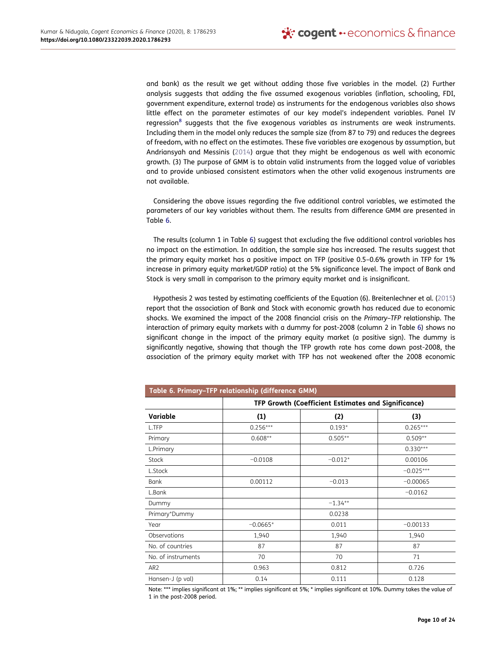and bank) as the result we get without adding those five variables in the model. (2) Further analysis suggests that adding the five assumed exogenous variables (inflation, schooling, FDI, government expenditure, external trade) as instruments for the endogenous variables also shows little effect on the parameter estimates of our key model's independent variables. Panel IV regression $<sup>8</sup>$  $<sup>8</sup>$  $<sup>8</sup>$  suggests that the five exogenous variables as instruments are weak instruments.</sup> Including them in the model only reduces the sample size (from 87 to 79) and reduces the degrees of freedom, with no effect on the estimates. These five variables are exogenous by assumption, but Andriansyah and Messinis [\(2014\)](#page-22-7) argue that they might be endogenous as well with economic growth. (3) The purpose of GMM is to obtain valid instruments from the lagged value of variables and to provide unbiased consistent estimators when the other valid exogenous instruments are not available.

Considering the above issues regarding the five additional control variables, we estimated the parameters of our key variables without them. The results from difference GMM are presented in Table [6](#page-10-0).

The results (column 1 in Table [6\)](#page-10-0) suggest that excluding the five additional control variables has no impact on the estimation. In addition, the sample size has increased. The results suggest that the primary equity market has a positive impact on TFP (positive 0.5–0.6% growth in TFP for 1% increase in primary equity market/GDP ratio) at the 5% significance level. The impact of Bank and Stock is very small in comparison to the primary equity market and is insignificant.

Hypothesis 2 was tested by estimating coefficients of the Equation (6). Breitenlechner et al. ([2015\)](#page-23-25) report that the association of Bank and Stock with economic growth has reduced due to economic shocks. We examined the impact of the 2008 financial crisis on the *Primary*–*TFP* relationship. The interaction of primary equity markets with a dummy for post-2008 (column 2 in Table [6\)](#page-10-0) shows no significant change in the impact of the primary equity market (a positive sign). The dummy is significantly negative, showing that though the TFP growth rate has come down post-2008, the association of the primary equity market with TFP has not weakened after the 2008 economic

<span id="page-10-0"></span>**Table 6. Primary–TFP relationship (difference GMM)**

| Table 6. Primary–TFP relationship (difference GMM) |                                                     |            |             |  |  |
|----------------------------------------------------|-----------------------------------------------------|------------|-------------|--|--|
|                                                    | TFP Growth (Coefficient Estimates and Significance) |            |             |  |  |
| Variable                                           | (1)                                                 | (2)        | (3)         |  |  |
| L.TFP                                              | $0.256***$                                          | $0.193*$   | $0.265***$  |  |  |
| Primary                                            | $0.608**$                                           | $0.505**$  | $0.509**$   |  |  |
| L.Primary                                          |                                                     |            | $0.330***$  |  |  |
| Stock                                              | $-0.0108$                                           | $-0.012*$  | 0.00106     |  |  |
| L.Stock                                            |                                                     |            | $-0.025***$ |  |  |
| Bank                                               | 0.00112                                             | $-0.013$   | $-0.00065$  |  |  |
| L.Bank                                             |                                                     |            | $-0.0162$   |  |  |
| Dummy                                              |                                                     | $-1.34***$ |             |  |  |
| Primary*Dummy                                      |                                                     | 0.0238     |             |  |  |
| Year                                               | $-0.0665*$                                          | 0.011      | $-0.00133$  |  |  |
| Observations                                       | 1,940                                               | 1,940      | 1,940       |  |  |
| No. of countries                                   | 87                                                  | 87         | 87          |  |  |
| No. of instruments                                 | 70                                                  | 70         | 71          |  |  |
| AR <sub>2</sub>                                    | 0.963                                               | 0.812      | 0.726       |  |  |
| Hansen-J (p val)                                   | 0.14                                                | 0.111      | 0.128       |  |  |

Note: \*\*\* implies significant at 1%; \*\* implies significant at 5%; \* implies significant at 10%. Dummy takes the value of 1 in the post-2008 period.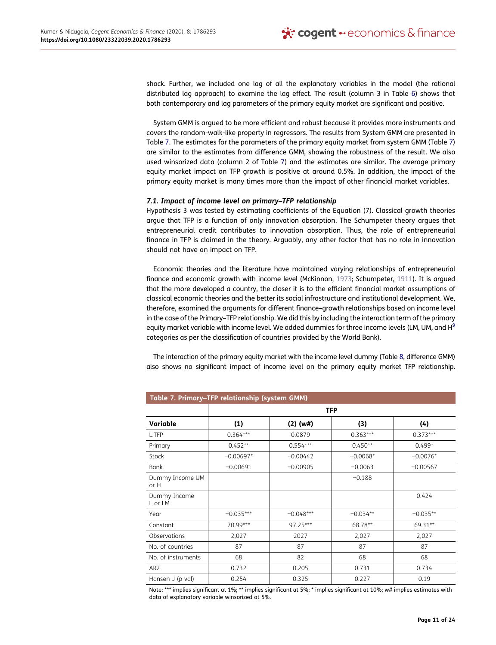shock. Further, we included one lag of all the explanatory variables in the model (the rational distributed lag approach) to examine the lag effect. The result (column 3 in Table [6](#page-10-0)) shows that both contemporary and lag parameters of the primary equity market are significant and positive.

System GMM is argued to be more efficient and robust because it provides more instruments and covers the random-walk-like property in regressors. The results from System GMM are presented in Table [7.](#page-11-0) The estimates for the parameters of the primary equity market from system GMM (Table [7\)](#page-11-0) are similar to the estimates from difference GMM, showing the robustness of the result. We also used winsorized data (column 2 of Table [7\)](#page-11-0) and the estimates are similar. The average primary equity market impact on TFP growth is positive at around 0.5%. In addition, the impact of the primary equity market is many times more than the impact of other financial market variables.

#### *7.1. Impact of income level on primary–TFP relationship*

Hypothesis 3 was tested by estimating coefficients of the Equation (7). Classical growth theories argue that TFP is a function of only innovation absorption. The Schumpeter theory argues that entrepreneurial credit contributes to innovation absorption. Thus, the role of entrepreneurial finance in TFP is claimed in the theory. Arguably, any other factor that has no role in innovation should not have an impact on TFP.

Economic theories and the literature have maintained varying relationships of entrepreneurial finance and economic growth with income level (McKinnon, [1973](#page-23-3); Schumpeter, [1911\)](#page-23-1). It is argued that the more developed a country, the closer it is to the efficient financial market assumptions of classical economic theories and the better its social infrastructure and institutional development. We, therefore, examined the arguments for different finance–growth relationships based on income level in the case of the Primary–TFP relationship. We did this by including the interaction term of the primary equity market variable with income level. We added dummies for three income levels (LM, UM, and  $H^9$  $H^9$ categories as per the classification of countries provided by the World Bank).

The interaction of the primary equity market with the income level dummy (Table [8](#page-12-0), difference GMM) also shows no significant impact of income level on the primary equity market–TFP relationship.

<span id="page-11-0"></span>

| Table 7. Primary–TFP relationship (system GMM) |             |             |            |            |  |  |
|------------------------------------------------|-------------|-------------|------------|------------|--|--|
|                                                | <b>TFP</b>  |             |            |            |  |  |
| Variable                                       | (1)         | $(2)$ (w#)  | (3)        | (4)        |  |  |
| L.TFP                                          | $0.364***$  | 0.0879      | $0.363***$ | $0.373***$ |  |  |
| Primary                                        | $0.452**$   | $0.554***$  | $0.450**$  | $0.499*$   |  |  |
| Stock                                          | $-0.00697*$ | $-0.00442$  | $-0.0068*$ | $-0.0076*$ |  |  |
| <b>Bank</b>                                    | $-0.00691$  | $-0.00905$  | $-0.0063$  | $-0.00567$ |  |  |
| Dummy Income UM<br>or H                        |             |             | $-0.188$   |            |  |  |
| Dummy Income<br>L or LM                        |             |             |            | 0.424      |  |  |
| Year                                           | $-0.035***$ | $-0.048***$ | $-0.034**$ | $-0.035**$ |  |  |
| Constant                                       | 70.99***    | $97.25***$  | 68.78**    | 69.31**    |  |  |
| Observations                                   | 2,027       | 2027        | 2,027      | 2,027      |  |  |
| No. of countries                               | 87          | 87          | 87         | 87         |  |  |
| No. of instruments                             | 68          | 82          | 68         | 68         |  |  |
| AR <sub>2</sub>                                | 0.732       | 0.205       | 0.731      | 0.734      |  |  |
| Hansen-J (p val)                               | 0.254       | 0.325       | 0.227      | 0.19       |  |  |

Note: \*\*\* implies significant at 1%; \*\* implies significant at 5%; \* implies significant at 10%; w# implies estimates with data of explanatory variable winsorized at 5%.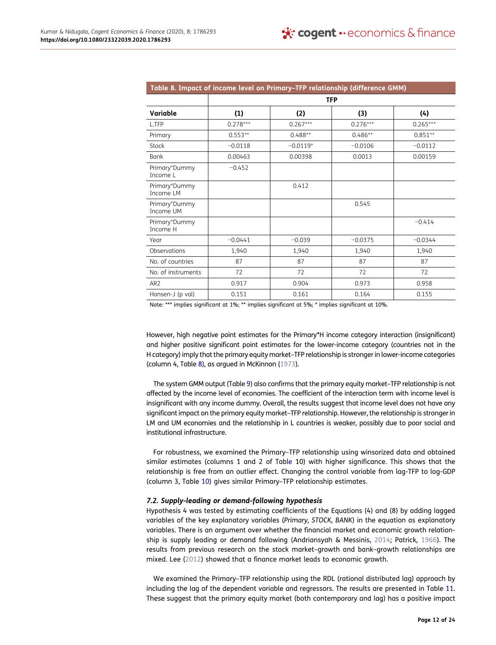<span id="page-12-0"></span>

| Table 8. Impact of income level on Primary-TFP relationship (difference GMM) |            |            |            |            |  |  |
|------------------------------------------------------------------------------|------------|------------|------------|------------|--|--|
|                                                                              | <b>TFP</b> |            |            |            |  |  |
| Variable                                                                     | (1)        | (2)        | (3)        | (4)        |  |  |
| L.TFP                                                                        | $0.278***$ | $0.267***$ | $0.276***$ | $0.265***$ |  |  |
| Primary                                                                      | $0.553**$  | $0.488**$  | $0.486**$  | $0.851**$  |  |  |
| Stock                                                                        | $-0.0118$  | $-0.0119*$ | $-0.0106$  | $-0.0112$  |  |  |
| Bank                                                                         | 0.00463    | 0.00398    | 0.0013     | 0.00159    |  |  |
| Primary*Dummy<br>Income L                                                    | $-0.452$   |            |            |            |  |  |
| Primary*Dummy<br>Income LM                                                   |            | 0.412      |            |            |  |  |
| Primary*Dummy<br>Income UM                                                   |            |            | 0.545      |            |  |  |
| Primary*Dummy<br>Income H                                                    |            |            |            | $-0.414$   |  |  |
| Year                                                                         | $-0.0441$  | $-0.039$   | $-0.0375$  | $-0.0344$  |  |  |
| Observations                                                                 | 1,940      | 1,940      | 1,940      | 1,940      |  |  |
| No. of countries                                                             | 87         | 87         | 87         | 87         |  |  |
| No. of instruments                                                           | 72         | 72         | 72         | 72         |  |  |
| AR <sub>2</sub>                                                              | 0.917      | 0.904      | 0.973      | 0.958      |  |  |
| Hansen-J (p val)                                                             | 0.151      | 0.161      | 0.164      | 0.155      |  |  |

However, high negative point estimates for the Primary\*H income category interaction (insignificant) and higher positive significant point estimates for the lower-income category (countries not in the H category) imply that the primary equity market–TFP relationship is stronger in lower-income categories (column 4, Table [8](#page-12-0)), as argued in McKinnon [\(1973\)](#page-23-3).

The system GMM output (Table [9\)](#page-13-0) also confirms that the primary equity market–TFP relationship is not affected by the income level of economies. The coefficient of the interaction term with income level is insignificant with any income dummy. Overall, the results suggest that income level does not have any significant impact on the primary equity market–TFP relationship. However, the relationship is stronger in LM and UM economies and the relationship in L countries is weaker, possibly due to poor social and institutional infrastructure.

For robustness, we examined the Primary–TFP relationship using winsorized data and obtained similar estimates (columns 1 and 2 of Tabl[e](#page-13-1) 10) with higher significance. This shows that the relationship is free from an outlier effect. Changing the control variable from lag-TFP to log-GDP (column 3, Table [10](#page-13-1)) gives similar Primary–TFP relationship estimates.

#### *7.2. Supply-leading or demand-following hypothesis*

Hypothesis 4 was tested by estimating coefficients of the Equations (4) and (8) by adding lagged variables of the key explanatory variables (*Primary, STOCK, BANK*) in the equation as explanatory variables. There is an argument over whether the financial market and economic growth relationship is supply leading or demand following (Andriansyah & Messinis, [2014;](#page-22-7) Patrick, [1966\)](#page-23-26). The results from previous research on the stock market–growth and bank–growth relationships are mixed. Lee ([2012](#page-23-30)) showed that a finance market leads to economic growth.

<span id="page-12-1"></span>We examined the Primary–TFP relationship using the RDL (rational distributed lag) approach by including the lag of the dependent variable and regressors. The results are presented in Table [11](#page-14-0). These suggest that the primary equity market (both contemporary and lag) has a positive impact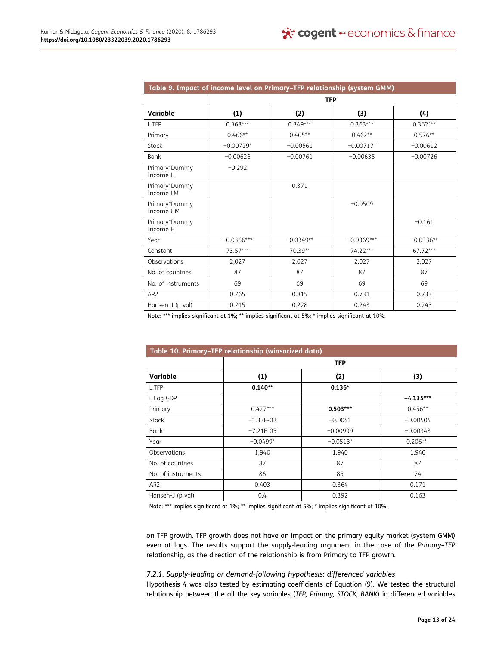<span id="page-13-0"></span>

| Table 9. Impact of income level on Primary-TFP relationship (system GMM) |              |             |              |             |  |  |
|--------------------------------------------------------------------------|--------------|-------------|--------------|-------------|--|--|
|                                                                          | <b>TFP</b>   |             |              |             |  |  |
| Variable                                                                 | (1)          | (2)         | (3)          | (4)         |  |  |
| L.TFP                                                                    | $0.368***$   | $0.349***$  | $0.363***$   | $0.362***$  |  |  |
| Primary                                                                  | $0.466**$    | $0.405**$   | $0.462**$    | $0.576**$   |  |  |
| Stock                                                                    | $-0.00729*$  | $-0.00561$  | $-0.00717*$  | $-0.00612$  |  |  |
| <b>Bank</b>                                                              | $-0.00626$   | $-0.00761$  | $-0.00635$   | $-0.00726$  |  |  |
| Primary*Dummy<br>Income L                                                | $-0.292$     |             |              |             |  |  |
| Primary*Dummy<br>Income LM                                               |              | 0.371       |              |             |  |  |
| Primary*Dummy<br>Income UM                                               |              |             | $-0.0509$    |             |  |  |
| Primary*Dummy<br>Income H                                                |              |             |              | $-0.161$    |  |  |
| Year                                                                     | $-0.0366***$ | $-0.0349**$ | $-0.0369***$ | $-0.0336**$ |  |  |
| Constant                                                                 | $73.57***$   | 70.39**     | 74.22***     | $67.72***$  |  |  |
| Observations                                                             | 2,027        | 2,027       | 2,027        | 2,027       |  |  |
| No. of countries                                                         | 87           | 87          | 87           | 87          |  |  |
| No. of instruments                                                       | 69           | 69          | 69           | 69          |  |  |
| AR <sub>2</sub>                                                          | 0.765        | 0.815       | 0.731        | 0.733       |  |  |
| Hansen-J (p val)                                                         | 0.215        | 0.228       | 0.243        | 0.243       |  |  |

<span id="page-13-1"></span>

| Table 10. Primary-TFP relationship (winsorized data) |             |            |             |  |  |  |
|------------------------------------------------------|-------------|------------|-------------|--|--|--|
|                                                      | <b>TFP</b>  |            |             |  |  |  |
| Variable                                             | (1)         | (2)        | (3)         |  |  |  |
| L.TFP                                                | $0.140**$   | $0.136*$   |             |  |  |  |
| L.Log GDP                                            |             |            | $-4.135***$ |  |  |  |
| Primary                                              | $0.427***$  | $0.503***$ | $0.456**$   |  |  |  |
| Stock                                                | $-1.33E-02$ | $-0.0041$  | $-0.00504$  |  |  |  |
| <b>Bank</b>                                          | $-7.21E-05$ | $-0.00999$ | $-0.00343$  |  |  |  |
| Year                                                 | $-0.0499*$  | $-0.0513*$ | $0.206***$  |  |  |  |
| Observations                                         | 1,940       | 1,940      | 1,940       |  |  |  |
| No. of countries                                     | 87          | 87         | 87          |  |  |  |
| No. of instruments                                   | 86          | 85         | 74          |  |  |  |
| AR <sub>2</sub>                                      | 0.403       | 0.364      | 0.171       |  |  |  |
| Hansen-J (p val)                                     | 0.4         | 0.392      | 0.163       |  |  |  |

Note: \*\*\* implies significant at 1%; \*\* implies significant at 5%; \* implies significant at 10%.

on TFP growth. TFP growth does not have an impact on the primary equity market (system GMM) even at lags. The results support the supply-leading argument in the case of the *Primary*–*TFP*  relationship, as the direction of the relationship is from Primary to TFP growth.

### *7.2.1. Supply-leading or demand-following hypothesis: differenced variables*

Hypothesis 4 was also tested by estimating coefficients of Equation (9). We tested the structural relationship between the all the key variables (*TFP, Primary, STOCK, BANK*) in differenced variables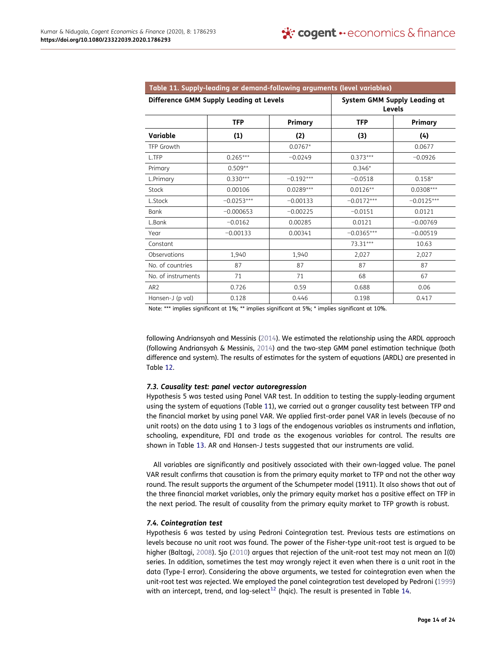<span id="page-14-0"></span>

| Table 11. Supply-leading or demand-following arguments (level variables) |              |                                        |              |              |  |
|--------------------------------------------------------------------------|--------------|----------------------------------------|--------------|--------------|--|
| Difference GMM Supply Leading at Levels                                  |              | System GMM Supply Leading at<br>Levels |              |              |  |
|                                                                          | <b>TFP</b>   | Primary                                | <b>TFP</b>   | Primary      |  |
| Variable                                                                 | (1)          | (2)                                    | (3)          | (4)          |  |
| <b>TFP Growth</b>                                                        |              | $0.0767*$                              |              | 0.0677       |  |
| L.TFP                                                                    | $0.265***$   | $-0.0249$                              | $0.373***$   | $-0.0926$    |  |
| Primary                                                                  | $0.509**$    |                                        | $0.346*$     |              |  |
| L.Primary                                                                | $0.330***$   | $-0.192***$                            | $-0.0518$    | $0.158*$     |  |
| Stock                                                                    | 0.00106      | $0.0289***$                            | $0.0126**$   | $0.0308***$  |  |
| L.Stock                                                                  | $-0.0253***$ | $-0.00133$                             | $-0.0172***$ | $-0.0125***$ |  |
| <b>Bank</b>                                                              | $-0.000653$  | $-0.00225$                             | $-0.0151$    | 0.0121       |  |
| L.Bank                                                                   | $-0.0162$    | 0.00285                                | 0.0121       | $-0.00769$   |  |
| Year                                                                     | $-0.00133$   | 0.00341                                | $-0.0365***$ | $-0.00519$   |  |
| Constant                                                                 |              |                                        | 73.31***     | 10.63        |  |
| Observations                                                             | 1,940        | 1,940                                  | 2,027        | 2,027        |  |
| No. of countries                                                         | 87           | 87                                     | 87           | 87           |  |
| No. of instruments                                                       | 71           | 71                                     | 68           | 67           |  |
| AR <sub>2</sub>                                                          | 0.726        | 0.59                                   | 0.688        | 0.06         |  |
| Hansen-J (p val)                                                         | 0.128        | 0.446                                  | 0.198        | 0.417        |  |

following Andriansyah and Messinis [\(2014](#page-22-7)). We estimated the relationship using the ARDL approach (following Andriansyah & Messinis, [2014\)](#page-22-7) and the two-step GMM panel estimation technique (both difference and system). The results of estimates for the system of equations (ARDL) are presented in Table [12](#page-15-0).

#### *7.3. Causality test: panel vector autoregression*

Hypothesis 5 was tested using Panel VAR test. In addition to testing the supply-leading argument using the system of equations (Table [11](#page-14-0)), we carried out a granger causality test between TFP and the financial market by using panel VAR. We applied first-order panel VAR in levels (because of no unit roots) on the data using 1 to 3 lags of the endogenous variables as instruments and inflation, schooling, expenditure, FDI and trade as the exogenous variables for control. The results are shown in Table [13](#page-16-1). AR and Hansen-J tests suggested that our instruments are valid.

All variables are significantly and positively associated with their own-lagged value. The panel VAR result confirms that causation is from the primary equity market to TFP and not the other way round. The result supports the argument of the Schumpeter model (1911). It also shows that out of the three financial market variables, only the primary equity market has a positive effect on TFP in the next period. The result of causality from the primary equity market to TFP growth is robust.

#### *7.4. Cointegration test*

<span id="page-14-2"></span><span id="page-14-1"></span>Hypothesis 6 was tested by using Pedroni Cointegration test. Previous tests are estimations on levels because no unit root was found. The power of the Fisher-type unit-root test is argued to be higher (Baltagi, [2008\)](#page-22-14). Sjo ([2010](#page-23-31)) argues that rejection of the unit-root test may not mean an I(0) series. In addition, sometimes the test may wrongly reject it even when there is a unit root in the data (Type-I error). Considering the above arguments, we tested for cointegration even when the unit-root test was rejected. We employed the panel cointegration test developed by Pedroni [\(1999\)](#page-23-32) with an intercept, trend, and lag-select<sup>[12](#page-22-20)</sup> (hqic). The result is presented in Table [14](#page-17-0).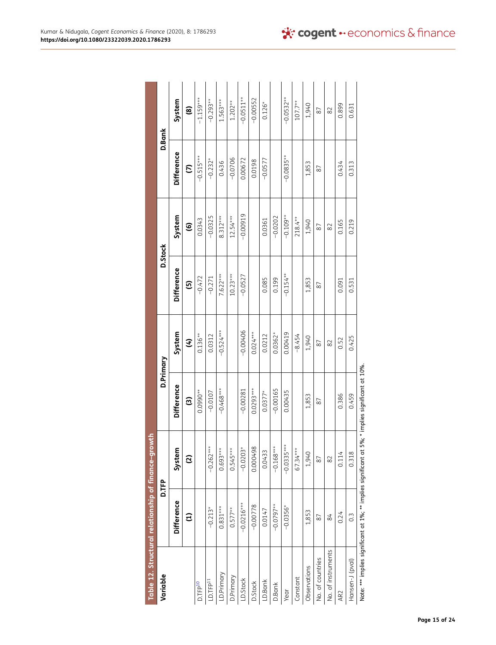<span id="page-15-0"></span>

|                      | Table 12. Structural relationship of finance-growth |              |                                                                                                 |             |                   |                        |                   |              |
|----------------------|-----------------------------------------------------|--------------|-------------------------------------------------------------------------------------------------|-------------|-------------------|------------------------|-------------------|--------------|
| Variable             |                                                     | <b>D.TFP</b> | D.Primary                                                                                       |             |                   | <b>D.Stock</b>         | D.Bank            |              |
|                      | <b>Difference</b>                                   | System       | <b>Difference</b>                                                                               | System      | <b>Difference</b> | System                 | <b>Difference</b> | System       |
|                      | $\widehat{E}$                                       | $\tilde{c}$  | $\widehat{\mathbf{c}}$                                                                          | E           | $\widehat{5}$     | $\widehat{\mathbf{e}}$ | $\tilde{c}$       | $\mathbf{a}$ |
| D.TFP <sup>10</sup>  |                                                     |              | $0.0990**$                                                                                      | $0.136**$   | $-0.472$          | 0.0343                 | $-0.515***$       | $-1.159***$  |
| LD.TFP <sup>11</sup> | $-0.213*$                                           | $-0.262***$  | $-0.0107$                                                                                       | 0.0312      | $-0.271$          | $-0.0325$              | $-0.232*$         | $-0.293**$   |
| LD.Primary           | $0.831***$                                          | $0.693***$   | $-0.468***$                                                                                     | $-0.524***$ | $7.622***$        | $8.312***$             | 0.436             | $1.563***$   |
| D.Primary            | $0.577**$                                           | $0.545***$   |                                                                                                 |             | $10.23***$        | $12.54***$             | $-0.0706$         | $1.202**$    |
| LD.Stock             | $-0.0216***$                                        | $-0.0203*$   | $-0.00281$                                                                                      | $-0.00406$  | $-0.0527$         | $-0.00919$             | 0.00672           | $-0.0511**$  |
| D.Stock              | $-0.00778$                                          | 0.000498     | $0.0293***$                                                                                     | $0.024***$  |                   |                        | 0.0198            | $-0.00552$   |
| LD.Bank              | 0.0147                                              | 0.0433       | $0.0377*$                                                                                       | 0.0212      | 0.085             | 0.0361                 | $-0.0577$         | $0.126*$     |
| D.Bank               | $-0.0797**$                                         | $-0.168***$  | $-0.00165$                                                                                      | $0.0362*$   | 0.199             | $-0.0202$              |                   |              |
| Year                 | $-0.0356*$                                          | $-0.0335***$ | 0.00435                                                                                         | 0.00419     | $-0.154**$        | $-0.109**$             | $-0.0835***$      | $-0.0532**$  |
| Constant             |                                                     | 67.34***     |                                                                                                 | $-8.454$    |                   | $218.4***$             |                   | $107.7**$    |
| Observations         | 1,853                                               | 1,940        | 1,853                                                                                           | 1,940       | 1,853             | 1,940                  | 1,853             | 1,940        |
| No. of countries     | 87                                                  | 87           | 87                                                                                              | 87          | 87                | 87                     | 87                | 87           |
| No. of instruments   | 84                                                  | 82           |                                                                                                 | 82          |                   | 82                     |                   | 82           |
| AR <sub>2</sub>      | 0.24                                                | 0.114        | 0.386                                                                                           | 0.52        | 0.091             | 0.165                  | 0.434             | 0.899        |
| Hansen-J (pval)      | $0.\overline{3}$                                    | 0.318        | 0.459                                                                                           | 0.425       | 0.531             | 0.219                  | 0.313             | 0.631        |
|                      |                                                     |              | Note: *** implies significant at 1%; ** implies significant at 5%; * implies significant at 10% |             |                   |                        |                   |              |

| $\overline{a}$                                                                                          |
|---------------------------------------------------------------------------------------------------------|
| ć                                                                                                       |
| ゙゚゚゚゚゚゚゚゚゚゚゚゚                                                                                           |
| $\frac{1}{\epsilon}$<br>֚                                                                               |
| ֖֖֖֖֪ׅ֪ׅ֚֚֚֚֚֚֚֚֬֝֝֝֝֬֝֝֬֝֬֝֬֝֬֝֬֝֬֝֬֝֬֝֓֬֝֬֝֬֝֬֝֬֝֬֝֬֝֓֬֝֬֝֬֝֬֝֬֝֬֝֬֝֬֝֬֝֬֝֬֝֬֝֬֝֝֬                    |
|                                                                                                         |
|                                                                                                         |
| $\sim$ + 10/ . 1<br>֧֧֧֧֧֧֧֧֧ׅ֧֧֧ׅ֧֛֧֪֛֧֧֪֛֪֪֪֪֪֪֪֪֪֪֪֪֛֚֚֚֚֚֚֚֚֚֚֚֚֚֚֚֚֚֚֚֝֝֓֝֬֝֓֝֬֝֬֝֬֝֬֜֓֓֝֬֜֓֝֬֝֬֝֬ |
|                                                                                                         |
|                                                                                                         |
|                                                                                                         |
|                                                                                                         |
|                                                                                                         |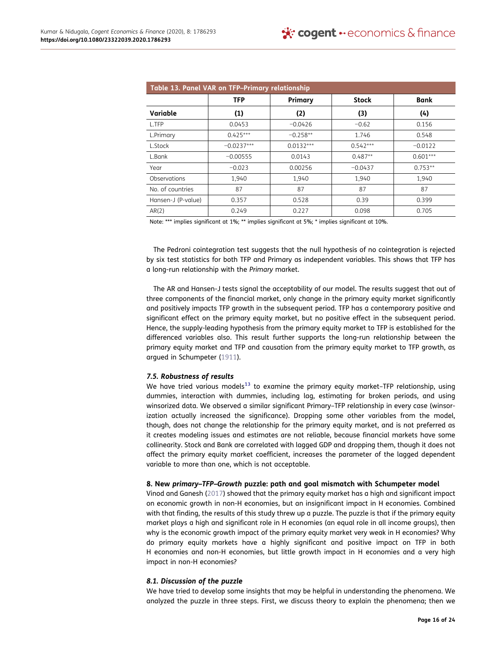<span id="page-16-1"></span>

| Table 13. Panel VAR on TFP-Primary relationship |              |             |              |             |  |
|-------------------------------------------------|--------------|-------------|--------------|-------------|--|
|                                                 | <b>TFP</b>   | Primary     | <b>Stock</b> | <b>Bank</b> |  |
| Variable                                        | (1)          | (2)         | (3)          | (4)         |  |
| L.TFP                                           | 0.0453       | $-0.0426$   | $-0.62$      | 0.156       |  |
| L.Primary                                       | $0.425***$   | $-0.258**$  | 1.746        | 0.548       |  |
| L.Stock                                         | $-0.0237***$ | $0.0132***$ | $0.542***$   | $-0.0122$   |  |
| L.Bank                                          | $-0.00555$   | 0.0143      | $0.487**$    | $0.601***$  |  |
| Year                                            | $-0.023$     | 0.00256     | $-0.0437$    | $0.753**$   |  |
| Observations                                    | 1,940        | 1,940       | 1,940        | 1,940       |  |
| No. of countries                                | 87           | 87          | 87           | 87          |  |
| Hansen-J (P-value)                              | 0.357        | 0.528       | 0.39         | 0.399       |  |
| AR(2)                                           | 0.249        | 0.227       | 0.098        | 0.705       |  |

The Pedroni cointegration test suggests that the null hypothesis of no cointegration is rejected by six test statistics for both TFP and Primary as independent variables. This shows that TFP has a long-run relationship with the *Primary* market.

The AR and Hansen-J tests signal the acceptability of our model. The results suggest that out of three components of the financial market, only change in the primary equity market significantly and positively impacts TFP growth in the subsequent period. TFP has a contemporary positive and significant effect on the primary equity market, but no positive effect in the subsequent period. Hence, the supply-leading hypothesis from the primary equity market to TFP is established for the differenced variables also. This result further supports the long-run relationship between the primary equity market and TFP and causation from the primary equity market to TFP growth, as argued in Schumpeter ([1911](#page-23-1)).

#### *7.5. Robustness of results*

We have tried various models<sup>13</sup> to examine the primary equity market–TFP relationship, using dummies, interaction with dummies, including lag, estimating for broken periods, and using winsorized data. We observed a similar significant Primary–TFP relationship in every case (winsorization actually increased the significance). Dropping some other variables from the model, though, does not change the relationship for the primary equity market, and is not preferred as it creates modeling issues and estimates are not reliable, because financial markets have some collinearity. Stock and Bank are correlated with lagged GDP and dropping them, though it does not affect the primary equity market coefficient, increases the parameter of the lagged dependent variable to more than one, which is not acceptable.

### <span id="page-16-0"></span>**8. New** *primary***–***TFP–Growth* **puzzle: path and goal mismatch with Schumpeter model**

<span id="page-16-2"></span>Vinod and Ganesh ([2017](#page-23-33)) showed that the primary equity market has a high and significant impact on economic growth in non-H economies, but an insignificant impact in H economies. Combined with that finding, the results of this study threw up a puzzle. The puzzle is that if the primary equity market plays a high and significant role in H economies (an equal role in all income groups), then why is the economic growth impact of the primary equity market very weak in H economies? Why do primary equity markets have a highly significant and positive impact on TFP in both H economies and non-H economies, but little growth impact in H economies and a very high impact in non-H economies?

#### *8.1. Discussion of the puzzle*

We have tried to develop some insights that may be helpful in understanding the phenomena. We analyzed the puzzle in three steps. First, we discuss theory to explain the phenomena; then we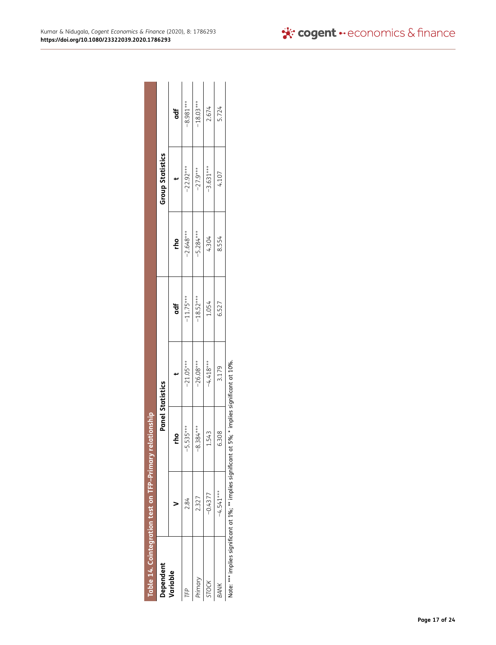<span id="page-17-0"></span>

|           | Table 14. Cointegration test on TFP-Primary relo                                                 | ationship   |                         |             |             |                         |             |
|-----------|--------------------------------------------------------------------------------------------------|-------------|-------------------------|-------------|-------------|-------------------------|-------------|
| Dependent |                                                                                                  |             | <b>Panel Statistics</b> |             |             | <b>Group Statistics</b> |             |
| Variable  |                                                                                                  | ě           |                         | adf         | rho         |                         | <b>adf</b>  |
| TFP       | 2.84                                                                                             | $-5.535***$ | $-21.05***$             | $-11.75***$ | $-2.648***$ | $-22.92***$             | $-8.981***$ |
| yuuula    | 2.327                                                                                            | $-8.384***$ | $-26.08***$             | $-18.52***$ | $-5.284***$ | $-27.9***$              | $-18.03***$ |
| STOCK     | $-0.4377$                                                                                        | 543         | $-4.418***$             | 1.054       | 4.304       | $-3.631***$             | 2.674       |
| BANK      | $-4.541***$                                                                                      | 308         | 3.179                   | 6.527       | 8.554       | 4.107                   | 5.724       |
|           | Note: *** implies significant at 1%; ** implies significant at 5%; * implies significant at 10%. |             |                         |             |             |                         |             |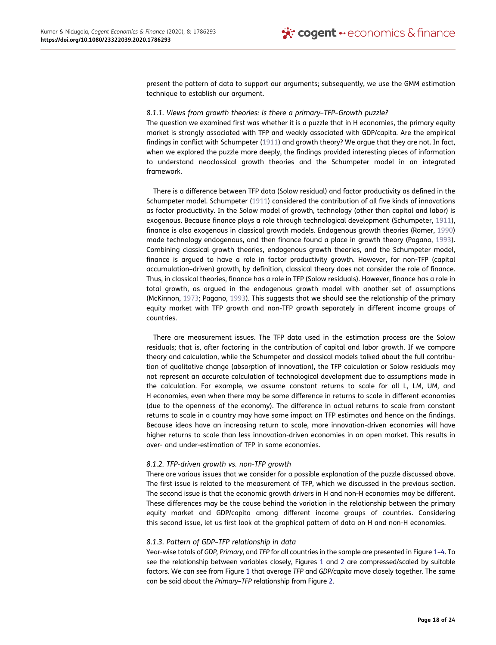present the pattern of data to support our arguments; subsequently, we use the GMM estimation technique to establish our argument.

#### *8.1.1. Views from growth theories: is there a primary–TFP–Growth puzzle?*

The question we examined first was whether it is a puzzle that in H economies, the primary equity market is strongly associated with TFP and weakly associated with GDP/capita. Are the empirical findings in conflict with Schumpeter [\(1911\)](#page-23-1) and growth theory? We argue that they are not. In fact, when we explored the puzzle more deeply, the findings provided interesting pieces of information to understand neoclassical growth theories and the Schumpeter model in an integrated framework.

<span id="page-18-1"></span>There is a difference between TFP data (Solow residual) and factor productivity as defined in the Schumpeter model. Schumpeter ([1911](#page-23-1)) considered the contribution of all five kinds of innovations as factor productivity. In the Solow model of growth, technology (other than capital and labor) is exogenous. Because finance plays a role through technological development (Schumpeter, [1911\)](#page-23-1), finance is also exogenous in classical growth models. Endogenous growth theories (Romer, [1990\)](#page-23-34) made technology endogenous, and then finance found a place in growth theory (Pagano, [1993\)](#page-23-35). Combining classical growth theories, endogenous growth theories, and the Schumpeter model, finance is argued to have a role in factor productivity growth. However, for non-TFP (capital accumulation–driven) growth, by definition, classical theory does not consider the role of finance. Thus, in classical theories, finance has a role in TFP (Solow residuals). However, finance has a role in total growth, as argued in the endogenous growth model with another set of assumptions (McKinnon, [1973](#page-23-3); Pagano, [1993\)](#page-23-35). This suggests that we should see the relationship of the primary equity market with TFP growth and non-TFP growth separately in different income groups of countries.

<span id="page-18-0"></span>There are measurement issues. The TFP data used in the estimation process are the Solow residuals; that is, after factoring in the contribution of capital and labor growth. If we compare theory and calculation, while the Schumpeter and classical models talked about the full contribution of qualitative change (absorption of innovation), the TFP calculation or Solow residuals may not represent an accurate calculation of technological development due to assumptions made in the calculation. For example, we assume constant returns to scale for all L, LM, UM, and H economies, even when there may be some difference in returns to scale in different economies (due to the openness of the economy). The difference in actual returns to scale from constant returns to scale in a country may have some impact on TFP estimates and hence on the findings. Because ideas have an increasing return to scale, more innovation-driven economies will have higher returns to scale than less innovation-driven economies in an open market. This results in over- and under-estimation of TFP in some economies.

#### *8.1.2. TFP-driven growth vs. non-TFP growth*

There are various issues that we consider for a possible explanation of the puzzle discussed above. The first issue is related to the measurement of TFP, which we discussed in the previous section. The second issue is that the economic growth drivers in H and non-H economies may be different. These differences may be the cause behind the variation in the relationship between the primary equity market and GDP/capita among different income groups of countries. Considering this second issue, let us first look at the graphical pattern of data on H and non-H economies.

#### *8.1.3. Pattern of GDP–TFP relationship in data*

Year-wise totals of *GDP, Primary*, and *TFP* for all countries in the sample are presented in Figure [1–](#page-4-3)[4.](#page-19-0) To see the relationship between variables closely, Figures [1](#page-4-3) and [2](#page-5-0) are compressed/scaled by suitable factors. We can see from Figure [1](#page-4-3) that average *TFP* and *GDP/capita* move closely together. The same can be said about the *Primary*–*TFP* relationship from Figure [2.](#page-5-0)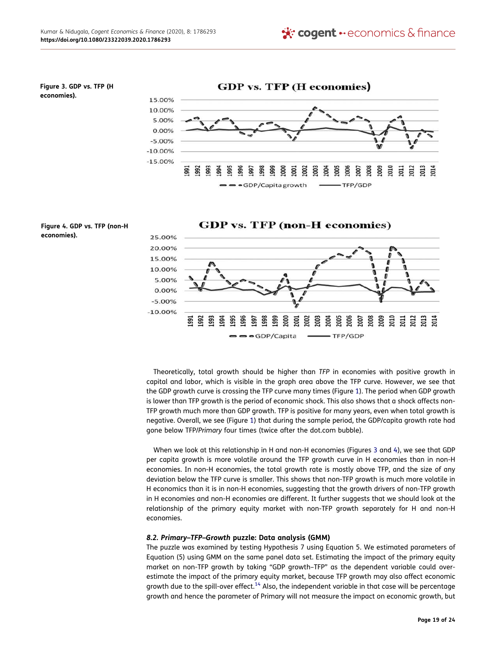<span id="page-19-1"></span>



<span id="page-19-0"></span>**Figure 4. GDP vs. TFP (non-H economies).**

**economies).**

Theoretically, total growth should be higher than *TFP* in economies with positive growth in capital and labor, which is visible in the graph area above the TFP curve. However, we see that the GDP growth curve is crossing the TFP curve many times (Figure [1\)](#page-4-3). The period when GDP growth is lower than TFP growth is the period of economic shock. This also shows that a shock affects non-TFP growth much more than GDP growth. TFP is positive for many years, even when total growth is negative. Overall, we see (Figure [1](#page-4-3)) that during the sample period, the GDP/capita growth rate had gone below TFP/*Primary* four times (twice after the dot.com bubble).

When we look at this relationship in H and non-H economies (Figures [3](#page-19-1) and [4\)](#page-19-0), we see that GDP per capita growth is more volatile around the TFP growth curve in H economies than in non-H economies. In non-H economies, the total growth rate is mostly above TFP, and the size of any deviation below the TFP curve is smaller. This shows that non-TFP growth is much more volatile in H economics than it is in non-H economies, suggesting that the growth drivers of non-TFP growth in H economies and non-H economies are different. It further suggests that we should look at the relationship of the primary equity market with non-TFP growth separately for H and non-H economies.

#### *8.2. Primary–TFP***–***Growth* **puzzle: Data analysis (GMM)**

The puzzle was examined by testing Hypothesis 7 using Equation 5. We estimated parameters of Equation (5) using GMM on the same panel data set. Estimating the impact of the primary equity market on non-TFP growth by taking "GDP growth–TFP" as the dependent variable could overestimate the impact of the primary equity market, because TFP growth may also affect economic growth due to the spill-over effect.<sup>[14](#page-22-24)</sup> Also, the independent variable in that case will be percentage growth and hence the parameter of Primary will not measure the impact on economic growth, but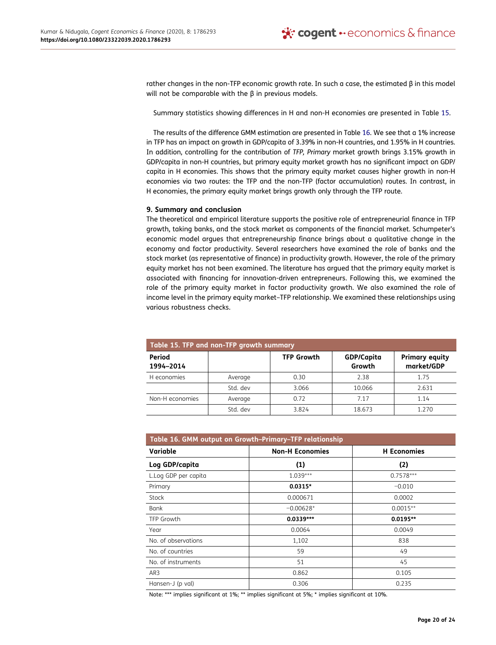rather changes in the non-TFP economic growth rate. In such a case, the estimated β in this model will not be comparable with the β in previous models.

Summary statistics showing differences in H and non-H economies are presented in Table [15](#page-20-1).

The results of the difference GMM estimation are presented in Table [16.](#page-20-2) We see that a 1% increase in TFP has an impact on growth in GDP/capita of 3.39% in non-H countries, and 1.95% in H countries. In addition, controlling for the contribution of *TFP, Primary* market growth brings 3.15% growth in GDP/capita in non-H countries, but primary equity market growth has no significant impact on GDP/ capita in H economies. This shows that the primary equity market causes higher growth in non-H economies via two routes: the TFP and the non-TFP (factor accumulation) routes. In contrast, in H economies, the primary equity market brings growth only through the TFP route.

### <span id="page-20-0"></span>**9. Summary and conclusion**

The theoretical and empirical literature supports the positive role of entrepreneurial finance in TFP growth, taking banks, and the stock market as components of the financial market. Schumpeter's economic model argues that entrepreneurship finance brings about a qualitative change in the economy and factor productivity. Several researchers have examined the role of banks and the stock market (as representative of finance) in productivity growth. However, the role of the primary equity market has not been examined. The literature has argued that the primary equity market is associated with financing for innovation-driven entrepreneurs. Following this, we examined the role of the primary equity market in factor productivity growth. We also examined the role of income level in the primary equity market–TFP relationship. We examined these relationships using various robustness checks.

<span id="page-20-1"></span>

|                     | Table 15. TFP and non-TFP growth summary |                   |                      |                                     |  |
|---------------------|------------------------------------------|-------------------|----------------------|-------------------------------------|--|
| Period<br>1994-2014 |                                          | <b>TFP Growth</b> | GDP/Capita<br>Growth | <b>Primary equity</b><br>market/GDP |  |
| H economies         | Average                                  | 0.30              | 2.38                 | 1.75                                |  |
|                     | Std. dev                                 | 3.066             | 10.066               | 2.631                               |  |
| Non-H economies     | Average                                  | 0.72              | 7.17                 | 1.14                                |  |
|                     | Std. dev                                 | 3.824             | 18.673               | 1.270                               |  |

<span id="page-20-2"></span>

| Table 16. GMM output on Growth-Primary-TFP relationship |                        |                    |  |  |  |  |
|---------------------------------------------------------|------------------------|--------------------|--|--|--|--|
| Variable                                                | <b>Non-H Economies</b> | <b>H</b> Economies |  |  |  |  |
| Log GDP/capita                                          | (1)                    | (2)                |  |  |  |  |
| L.Log GDP per capita                                    | $1.039***$             | $0.7578***$        |  |  |  |  |
| Primary                                                 | $0.0315*$              | $-0.010$           |  |  |  |  |
| Stock                                                   | 0.000671               | 0.0002             |  |  |  |  |
| Bank                                                    | $-0.00628*$            | $0.0015**$         |  |  |  |  |
| <b>TFP Growth</b>                                       | $0.0339***$            | $0.0195**$         |  |  |  |  |
| Year                                                    | 0.0064                 | 0.0049             |  |  |  |  |
| No. of observations                                     | 1,102                  | 838                |  |  |  |  |
| No. of countries                                        | 59                     | 49                 |  |  |  |  |
| No. of instruments                                      | 51                     | 45                 |  |  |  |  |
| AR3                                                     | 0.862                  | 0.105              |  |  |  |  |
| Hansen-J (p val)                                        | 0.306                  | 0.235              |  |  |  |  |

Note: \*\*\* implies significant at 1%; \*\* implies significant at 5%; \* implies significant at 10%.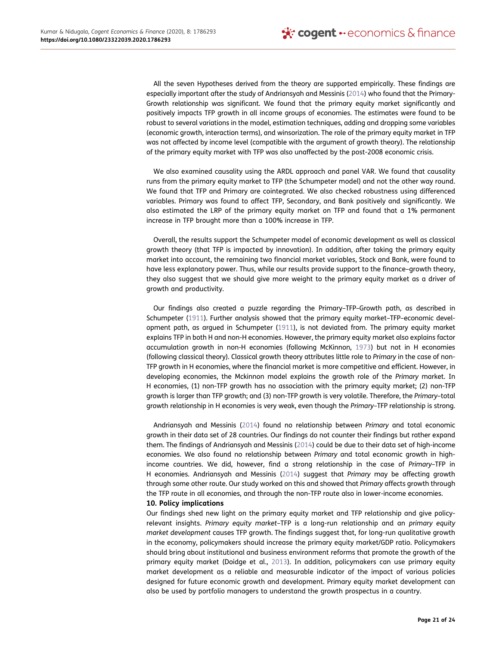All the seven Hypotheses derived from the theory are supported empirically. These findings are especially important after the study of Andriansyah and Messinis [\(2014](#page-22-7)) who found that the Primary-Growth relationship was significant. We found that the primary equity market significantly and positively impacts TFP growth in all income groups of economies. The estimates were found to be robust to several variations in the model, estimation techniques, adding and dropping some variables (economic growth, interaction terms), and winsorization. The role of the primary equity market in TFP was not affected by income level (compatible with the argument of growth theory). The relationship of the primary equity market with TFP was also unaffected by the post-2008 economic crisis.

We also examined causality using the ARDL approach and panel VAR. We found that causality runs from the primary equity market to TFP (the Schumpeter model) and not the other way round. We found that TFP and Primary are cointegrated. We also checked robustness using differenced variables. Primary was found to affect TFP, Secondary, and Bank positively and significantly. We also estimated the LRP of the primary equity market on TFP and found that a 1% permanent increase in TFP brought more than a 100% increase in TFP.

Overall, the results support the Schumpeter model of economic development as well as classical growth theory (that TFP is impacted by innovation). In addition, after taking the primary equity market into account, the remaining two financial market variables, Stock and Bank, were found to have less explanatory power. Thus, while our results provide support to the finance–growth theory, they also suggest that we should give more weight to the primary equity market as a driver of growth and productivity.

Our findings also created a puzzle regarding the Primary–TFP–Growth path, as described in Schumpeter [\(1911](#page-23-1)). Further analysis showed that the primary equity market–TFP–economic development path, as argued in Schumpeter ([1911\)](#page-23-1), is not deviated from. The primary equity market explains TFP in both H and non-H economies. However, the primary equity market also explains factor accumulation growth in non-H economies (following McKinnon, [1973\)](#page-23-3) but not in H economies (following classical theory). Classical growth theory attributes little role to *Primary* in the case of non-TFP growth in H economies, where the financial market is more competitive and efficient. However, in developing economies, the Mckinnon model explains the growth role of the *Primary* market. In H economies, (1) non-TFP growth has no association with the primary equity market; (2) non-TFP growth is larger than TFP growth; and (3) non-TFP growth is very volatile. Therefore, the *Primary*–total growth relationship in H economies is very weak, even though the *Primary*–TFP relationship is strong.

Andriansyah and Messinis [\(2014](#page-22-7)) found no relationship between *Primary* and total economic growth in their data set of 28 countries. Our findings do not counter their findings but rather expand them. The findings of Andriansyah and Messinis ([2014\)](#page-22-7) could be due to their data set of high-income economies. We also found no relationship between *Primary* and total economic growth in highincome countries. We did, however, find a strong relationship in the case of *Primary*–TFP in H economies. Andriansyah and Messinis ([2014\)](#page-22-7) suggest that *Primary* may be affecting growth through some other route. Our study worked on this and showed that *Primary* affects growth through the TFP route in all economies, and through the non-TFP route also in lower-income economies.

### <span id="page-21-0"></span>**10. Policy implications**

Our findings shed new light on the primary equity market and TFP relationship and give policyrelevant insights. *Primary equity market*–TFP is a long-run relationship and an *primary equity market development* causes TFP growth. The findings suggest that, for long-run qualitative growth in the economy, policymakers should increase the primary equity market/GDP ratio. Policymakers should bring about institutional and business environment reforms that promote the growth of the primary equity market (Doidge et al., [2013](#page-23-23)). In addition, policymakers can use primary equity market development as a reliable and measurable indicator of the impact of various policies designed for future economic growth and development. Primary equity market development can also be used by portfolio managers to understand the growth prospectus in a country.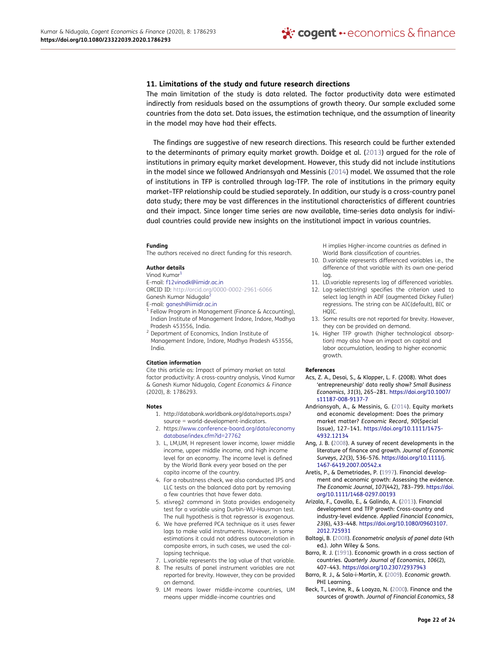#### <span id="page-22-4"></span>**11. Limitations of the study and future research directions**

The main limitation of the study is data related. The factor productivity data were estimated indirectly from residuals based on the assumptions of growth theory. Our sample excluded some countries from the data set. Data issues, the estimation technique, and the assumption of linearity in the model may have had their effects.

The findings are suggestive of new research directions. This research could be further extended to the determinants of primary equity market growth. Doidge et al. ([2013](#page-23-23)) argued for the role of institutions in primary equity market development. However, this study did not include institutions in the model since we followed Andriansyah and Messinis [\(2014\)](#page-22-7) model. We assumed that the role of institutions in TFP is controlled through lag-TFP. The role of institutions in the primary equity market–TFP relationship could be studied separately. In addition, our study is a cross-country panel data study; there may be vast differences in the institutional characteristics of different countries and their impact. Since longer time series are now available, time-series data analysis for individual countries could provide new insights on the institutional impact in various countries.

#### **Funding**

The authors received no direct funding for this research.

#### **Author details**

<span id="page-22-0"></span>Vinod Kumar<sup>[1](#page-1-0)</sup>

- E-mail: f12vinodk@iimidr.ac.in ORCID ID: http://orcid.org/0000-0002-2961-6066
- <span id="page-22-1"></span>Ganesh Kumar Nidugala<sup>2</sup>
- E-mail: ganesh@iimidr.ac.in
- <sup>1</sup> Fellow Program in Management (Finance & Accounting), Indian Institute of Management Indore, Indore, Madhya Pradesh 453556, India.
- <sup>2</sup> Department of Economics, Indian Institute of Management Indore, Indore, Madhya Pradesh 453556, India.

#### **Citation information**

Cite this article as: Impact of primary market on total factor productivity: A cross-country analysis, Vinod Kumar & Ganesh Kumar Nidugala*, Cogent Economics & Finance*  (2020), 8: 1786293.

#### <span id="page-22-5"></span>**Notes**

- 1. http://databank.worldbank.org/data/reports.aspx? source = world-development-indicators.
- <span id="page-22-6"></span>2. https://[www.conference-board.org/data/economy](http://www.conference-board.org/data/economydatabase/index.cfm?id=27762)  [database/index.cfm?id=27762](http://www.conference-board.org/data/economydatabase/index.cfm?id=27762)
- <span id="page-22-11"></span>3. L, LM,UM, H represent lower income, lower middle income, upper middle income, and high income level for an economy. The income level is defined by the World Bank every year based on the per capita income of the country.
- <span id="page-22-13"></span>4. For a robustness check, we also conducted IPS and LLC tests on the balanced data part by removing a few countries that have fewer data.
- <span id="page-22-15"></span>5. xtivreg2 command in Stata provides endogeneity test for a variable using Durbin-WU-Hausman test. The null hypothesis is that regressor is exogenous.
- <span id="page-22-16"></span>6. We have preferred PCA technique as it uses fewer lags to make valid instruments. However, in some estimations it could not address autocorrelation in composite errors, in such cases, we used the collapsing technique.
- <span id="page-22-17"></span>7. L.variable represents the lag value of that variable.
- <span id="page-22-18"></span>8. The results of panel instrument variables are not reported for brevity. However, they can be provided on demand.
- <span id="page-22-19"></span>9. LM means lower middle-income countries, UM means upper middle-income countries and

H implies Higher-income countries as defined in World Bank classification of countries.

- <span id="page-22-21"></span>10. D.variable represents differenced variables i.e., the difference of that variable with its own one-period lag.
- <span id="page-22-22"></span>11. LD.variable represents lag of differenced variables.
- <span id="page-22-20"></span>12. Lag-select(string) specifies the criterion used to select lag length in ADF (augmented Dickey Fuller) regressions. The string can be AIC(default), BIC or HQIC.
- <span id="page-22-23"></span>13. Some results are not reported for brevity. However, they can be provided on demand.
- <span id="page-22-24"></span>14. Higher TFP growth (higher technological absorption) may also have an impact on capital and labor accumulation, leading to higher economic growth.

#### **References**

- Acs, Z. A., Desai, S., & Klapper, L. F. (2008). What does 'entrepreneurship' data really show? *Small Business Economics*, *31*(3), 265–281. [https://doi.org/10.1007/](https://doi.org/10.1007/s11187-008-9137-7) [s11187-008-9137-7](https://doi.org/10.1007/s11187-008-9137-7)
- <span id="page-22-7"></span>Andriansyah, A., & Messinis, G. ([2014](#page-5-1)). Equity markets and economic development: Does the primary market matter? *Economic Record*, *90*(Special Issue), 127–141. [https://doi.org/10.1111/1475-](https://doi.org/10.1111/1475-4932.12134)  [4932.12134](https://doi.org/10.1111/1475-4932.12134)
- <span id="page-22-2"></span>Ang, J. B. [\(2008](#page-2-0)). A survey of recent developments in the literature of finance and growth. *Journal of Economic Surveys*, *22*(3), 536–576. [https://doi.org/10.1111/j.](https://doi.org/10.1111/j.1467-6419.2007.00542.x) [1467-6419.2007.00542.x](https://doi.org/10.1111/j.1467-6419.2007.00542.x)
- <span id="page-22-12"></span>Aretis, P., & Demetriades, P. ([1997\)](#page-7-2). Financial development and economic growth: Assessing the evidence. *The Economic Journal*, *107*(442), 783–799. [https://doi.](https://doi.org/10.1111/1468-0297.00193) [org/10.1111/1468-0297.00193](https://doi.org/10.1111/1468-0297.00193)
- <span id="page-22-10"></span>Arizala, F., Cavallo, E., & Galindo, A. ([2013\)](#page-6-0). Financial development and TFP growth: Cross-country and industry-level evidence. *Applied Financial Economics*, *23*(6), 433–448. [https://doi.org/10.1080/09603107.](https://doi.org/10.1080/09603107.2012.725931)  [2012.725931](https://doi.org/10.1080/09603107.2012.725931)
- <span id="page-22-14"></span>Baltagi, B. [\(2008](#page-8-4)). *Econometric analysis of panel data* (4th ed.). John Wiley & Sons.
- <span id="page-22-9"></span>Barro, R. J. ([1991\)](#page-6-1). Economic growth in a cross section of countries. *Quarterly Journal of Economics*, *106*(2), 407–443. <https://doi.org/10.2307/2937943>
- <span id="page-22-8"></span>Barro, R. J., & Sala-i-Martin, X. [\(2009](#page-6-1)). *Economic growth*. PHI Learning.
- <span id="page-22-3"></span>Beck, T., Levine, R., & Loayza, N. ([2000\)](#page-2-1). Finance and the sources of growth. *Journal of Financial Economics*, *58*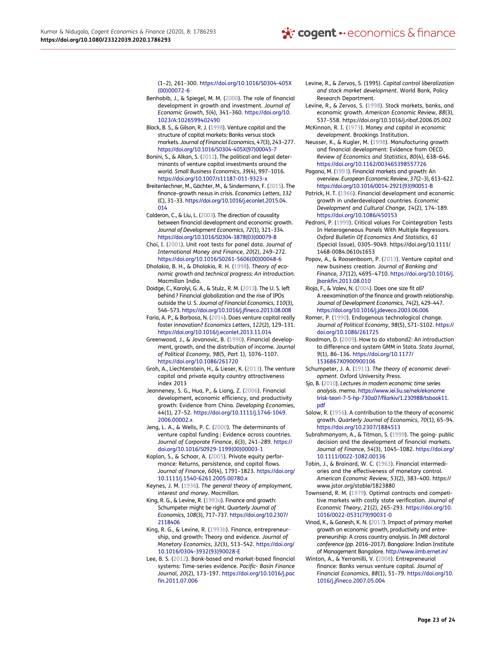#### (1–2), 261–300. [https://doi.org/10.1016/S0304-405X](https://doi.org/10.1016/S0304-405X(00)00072-6)  [\(00\)00072-6](https://doi.org/10.1016/S0304-405X(00)00072-6)

- <span id="page-23-7"></span>Benhabib, J., & Spiegel, M. M. ([2000\)](#page-2-2). The role of financial development in growth and investment. *Journal of Economic Growth*, *5*(4), 341–360. [https://doi.org/10.](https://doi.org/10.1023/A:1026599402490) [1023/A:1026599402490](https://doi.org/10.1023/A:1026599402490)
- <span id="page-23-14"></span>Black, B. S., & Gilson, R. J. [\(1998\)](#page-2-3). Venture capital and the structure of capital markets: Banks versus stock markets. *Journal of Financial Economics*, *47*(3), 243–277. [https://doi.org/10.1016/S0304-405X\(97\)00045-7](https://doi.org/10.1016/S0304-405X(97)00045-7)
- <span id="page-23-17"></span>Bonini, S., & Alkan, S. [\(2012\)](#page-2-4). The political and legal determinants of venture capital investments around the world. *Small Business Economics*, *39*(4), 997–1016. <https://doi.org/10.1007/s11187-011-9323-x>

<span id="page-23-25"></span>Breitenlechner, M., Gächter, M., & Sindermann, F. [\(2015\)](#page-6-2). The finance–growth nexus in crisis. *Economics Letters*, *132*  (C), 31–33. [https://doi.org/10.1016/j.econlet.2015.04.](https://doi.org/10.1016/j.econlet.2015.04.014)  [014](https://doi.org/10.1016/j.econlet.2015.04.014)

- <span id="page-23-13"></span>Calderon, C., & Liu, L. ([2003](#page-2-1)). The direction of causality between financial development and economic growth. *Journal of Development Economics*, *72*(1), 321–334. [https://doi.org/10.1016/S0304-3878\(03\)00079-8](https://doi.org/10.1016/S0304-3878(03)00079-8)
- <span id="page-23-28"></span>Choi, I. ([2001\)](#page-8-4). Unit root tests for panel data. *Journal of International Money and Finance*, *20*(2), 249–272. [https://doi.org/10.1016/S0261-5606\(00\)00048-6](https://doi.org/10.1016/S0261-5606(00)00048-6)
- <span id="page-23-2"></span>Dholakia, B. H., & Dholakia, R. H. [\(1998](#page-2-5)). *Theory of economic growth and technical progress: An introduction*. Macmillan India.
- <span id="page-23-23"></span>Doidge, C., Karolyi, G. A., & Stulz., R. M. ([2013](#page-5-2)). The U. S. left behind ? Financial globalization and the rise of IPOs outside the U. S. *Journal of Financial Economics*, *110*(3), 546–573. <https://doi.org/10.1016/j.jfineco.2013.08.008>
- <span id="page-23-19"></span>Faria, A. P., & Barbosa, N. [\(2014](#page-2-6)). Does venture capital really foster innovation? *Economics Letters*, *122*(2), 129–131. <https://doi.org/10.1016/j.econlet.2013.11.014>
- <span id="page-23-10"></span>Greenwood, J., & Jovanovic, B. [\(1990](#page-2-7)). Financial development, growth, and the distribution of income. *Journal of Political Economy*, *98*(5, Part 1), 1076–1107. <https://doi.org/10.1086/261720>
- <span id="page-23-18"></span>Groh, A., Liechtenstein, H., & Lieser, K. [\(2013\)](#page-2-8). The venture capital and private equity country attractiveness index 2013
- <span id="page-23-24"></span>Jeanneney, S. G., Hua, P., & Liang, Z. ([2006\)](#page-6-1). Financial development, economic efficiency, and productivity growth: Evidence from China. *Developing Economies*, *44*(1), 27–52. [https://doi.org/10.1111/j.1746-1049.](https://doi.org/10.1111/j.1746-1049.2006.00002.x)  [2006.00002.x](https://doi.org/10.1111/j.1746-1049.2006.00002.x)
- <span id="page-23-15"></span>Jeng, L. A., & Wells, P. C. [\(2000](#page-2-3)). The determinants of venture capital funding : Evidence across countries. *Journal of Corporate Finance*, *6*(3), 241–289. [https://](https://doi.org/10.1016/S0929-1199(00)00003-1) [doi.org/10.1016/S0929-1199\(00\)00003-1](https://doi.org/10.1016/S0929-1199(00)00003-1)
- <span id="page-23-16"></span>Kaplan, S., & Schoar, A. ([2005\)](#page-2-3). Private equity performance: Returns, persistence, and capital flows. *Journal of Finance*, *60*(4), 1791–1823. [https://doi.org/](https://doi.org/10.1111/j.1540-6261.2005.00780.x) [10.1111/j.1540-6261.2005.00780.x](https://doi.org/10.1111/j.1540-6261.2005.00780.x)
- <span id="page-23-22"></span>Keynes, J. M. [\(1936](#page-3-1)). *The general theory of employment, interest and money*. Macmillan.
- <span id="page-23-5"></span>King, R. G., & Levine, R. [\(1993a\)](#page-2-9). Finance and growth: Schumpeter might be right. *Quarterly Journal of Economics*, *108*(3), 717–737. [https://doi.org/10.2307/](https://doi.org/10.2307/2118406)  [2118406](https://doi.org/10.2307/2118406)
- <span id="page-23-11"></span>King, R. G., & Levine, R. ([1993b\)](#page-2-7). Finance, entrepreneurship, and growth: Theory and evidence. *Journal of Monetary Economics*, *32*(3), 513–542. [https://doi.org/](https://doi.org/10.1016/0304-3932(93)90028-E)  [10.1016/0304-3932\(93\)90028-E](https://doi.org/10.1016/0304-3932(93)90028-E)
- <span id="page-23-30"></span>Lee, B. S. ([2012\)](#page-12-1). Bank-based and market-based financial systems: Time-series evidence. *Pacific- Basin Finance Journal*, *20*(2), 173–197. [https://doi.org/10.1016/j.pac](https://doi.org/10.1016/j.pacfin.2011.07.006) [fin.2011.07.006](https://doi.org/10.1016/j.pacfin.2011.07.006)
- Levine, R., & Zervos, S. (1995). *Capital control liberalization and stock market development*. World Bank, Policy Research Department.
- <span id="page-23-6"></span>Levine, R., & Zervos, S. [\(1998](#page-2-10)). Stock markets, banks, and economic growth. *American Economic Review*, *88*(3), 537–558. https://doi.org/10.1016/j.ribaf.2006.05.002
- <span id="page-23-3"></span>McKinnon, R. I. [\(1973](#page-2-11)). *Money and capital in economic development*. Brookings Institution.
- <span id="page-23-12"></span>Neusser, K., & Kugler, M. ([1998\)](#page-2-1). Manufacturing growth and financial development: Evidence from OECD. *Review of Economics and Statistics*, *80*(4), 638–646. <https://doi.org/10.1162/003465398557726>
- <span id="page-23-35"></span>Pagano, M. [\(1993\)](#page-18-0). Financial markets and growth: An overview. *European Economic Review*, *37*(2–3), 613–622. [https://doi.org/10.1016/0014-2921\(93\)90051-B](https://doi.org/10.1016/0014-2921(93)90051-B)
- <span id="page-23-26"></span>Patrick, H. T. [\(1966\)](#page-6-3). Financial development and economic growth in underdeveloped countries. *Economic Development and Cultural Change*, *14*(2), 174–189. <https://doi.org/10.1086/450153>
- <span id="page-23-32"></span>Pedroni, P. [\(1999](#page-14-1)). Critical values For Cointegration Tests In Heterogeneous Panels With Multiple Regressors. *Oxford Bulletin Of Economics And Statistics*, *61*  (Special Issue), 0305–9049. https://doi.org/10.1111/ 1468-0084.0610s1653
- <span id="page-23-20"></span>Popov, A., & Roosenboom, P. [\(2013](#page-2-12)). Venture capital and new business creation. *Journal of Banking and Finance*, *37*(12), 4695–4710. [https://doi.org/10.1016/j.](https://doi.org/10.1016/j.jbankfin.2013.08.010)  [jbankfin.2013.08.010](https://doi.org/10.1016/j.jbankfin.2013.08.010)
- <span id="page-23-8"></span>Rioja, F., & Valev, N. ([2004](#page-2-13)). Does one size fit all? A reexamination of the finance and growth relationship. *Journal of Development Economics*, *74*(2), 429–447. <https://doi.org/10.1016/j.jdeveco.2003.06.006>
- <span id="page-23-34"></span>Romer, P. [\(1990](#page-18-1)). Endogenous technological change. *Journal of Political Economy*, *98*(5), S71–S102. [https://](https://doi.org/10.1086/261725)  [doi.org/10.1086/261725](https://doi.org/10.1086/261725)
- <span id="page-23-29"></span>Roodman, D. ([2009\)](#page-8-5). How to do xtabond2: An introduction to difference and system GMM in Stata. *Stata Journal*, *9*(1), 86–136. [https://doi.org/10.1177/](https://doi.org/10.1177/1536867X0900900106) [1536867X0900900106](https://doi.org/10.1177/1536867X0900900106)
- <span id="page-23-1"></span>Schumpeter, J. A. ([1911\)](#page-2-14). *The theory of economic development*. Oxford University Press.
- <span id="page-23-31"></span>Sjo, B. [\(2010\)](#page-14-2). *Lectures in modern economic time series analysis*. memo. [https://www.iei.liu.se/nek/ekonome](https://www.iei.liu.se/nek/ekonometrisk-teori-7-5-hp-730a07/filarkiv/1.230988/tsbook11.pdf)  [trisk-teori-7-5-hp-730a07/filarkiv/1.230988/tsbook11.](https://www.iei.liu.se/nek/ekonometrisk-teori-7-5-hp-730a07/filarkiv/1.230988/tsbook11.pdf) [pdf](https://www.iei.liu.se/nek/ekonometrisk-teori-7-5-hp-730a07/filarkiv/1.230988/tsbook11.pdf)
- <span id="page-23-0"></span>Solow, R. ([1956\)](#page-2-15). A contribution to the theory of economic growth. *Quarterly Journal of Economics*, *70*(1), 65–94. <https://doi.org/10.2307/1884513>
- <span id="page-23-27"></span>Subrahmanyam, A., & Titman, S. ([1999\)](#page-6-4). The going- public decision and the development of financial markets. *Journal of Finance*, *54*(3), 1045–1082. [https://doi.org/](https://doi.org/10.1111/0022-1082.00136) [10.1111/0022-1082.00136](https://doi.org/10.1111/0022-1082.00136)
- <span id="page-23-4"></span>Tobin, J., & Brainard, W. C. [\(1963](#page-2-7)). Financial intermediaries and the effectiveness of monetary control. *American Economic Review*, *53*(2), 383–400. https:// www.jstor.org/stable/1823880
- <span id="page-23-9"></span>Townsend, R. M. [\(1979](#page-2-7)). Optimal contracts and competitive markets with costly state verification. *Journal of Economic Theory*, *21*(2), 265–293. [https://doi.org/10.](https://doi.org/10.1016/0022-0531(79)90031-0) [1016/0022-0531\(79\)90031-0](https://doi.org/10.1016/0022-0531(79)90031-0)
- <span id="page-23-33"></span>Vinod, K., & Ganesh, K. N. ([2017](#page-16-2)). Impact of primary market growth on economic growth, productivity and entrepreneurship: A cross country analysis. In *IMR doctoral conference (pp*. 2016–2017). Bangalore: Indian Institute of Management Bangalore.<http://www.iimb.ernet.in/>
- <span id="page-23-21"></span>Winton, A., & Yerramilli, V. [\(2008](#page-2-16)). Entrepreneurial finance: Banks versus venture capital. *Journal of Financial Economics*, *88*(1), 51–79. [https://doi.org/10.](https://doi.org/10.1016/j.jfineco.2007.05.004) [1016/j.jfineco.2007.05.004](https://doi.org/10.1016/j.jfineco.2007.05.004)